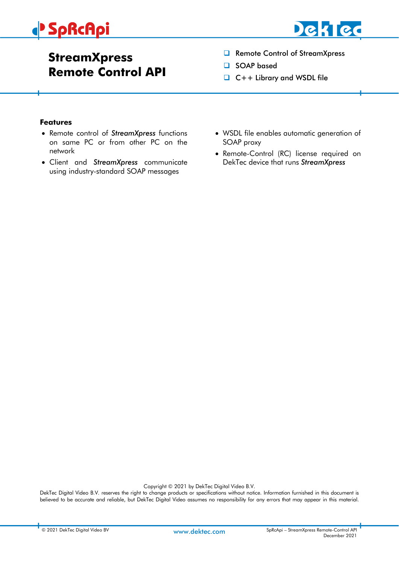# **SpRcApi**



# **StreamXpress Remote Control API**

- ❑ Remote Control of StreamXpress
- ❑ SOAP based
- ❑ C++ Library and WSDL file

#### <span id="page-0-0"></span>**Features**

- Remote control of *StreamXpress* functions on same PC or from other PC on the network
- Client and *StreamXpress* communicate using industry-standard SOAP messages
- WSDL file enables automatic generation of SOAP proxy
- Remote-Control (RC) license required on DekTec device that runs *StreamXpress*

Copyright © 2021 by DekTec Digital Video B.V.

DekTec Digital Video B.V. reserves the right to change products or specifications without notice. Information furnished in this document is believed to be accurate and reliable, but DekTec Digital Video assumes no responsibility for any errors that may appear in this material.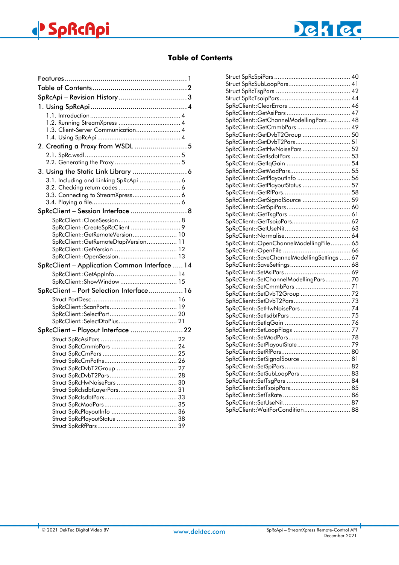

### **Table of Contents**

<span id="page-1-0"></span>

| 1.3. Client-Server Communication 4            |  |  |
|-----------------------------------------------|--|--|
|                                               |  |  |
|                                               |  |  |
|                                               |  |  |
|                                               |  |  |
|                                               |  |  |
| 3. Using the Static Link Library  6           |  |  |
| 3.1. Including and Linking SpRcApi  6         |  |  |
|                                               |  |  |
| 3.3. Connecting to StreamXpress 6             |  |  |
|                                               |  |  |
| SpRcClient - Session Interface  8             |  |  |
|                                               |  |  |
| SpRcClient::CreateSpRcClient  9               |  |  |
| SpRcClient::GetRemoteVersion 10               |  |  |
| SpRcClient::GetRemoteDtapiVersion 11          |  |  |
|                                               |  |  |
|                                               |  |  |
|                                               |  |  |
| SpRcClient - Application Common Interface  14 |  |  |
|                                               |  |  |
| SpRcClient::ShowWindow  15                    |  |  |
| SpRcClient - Port Selection Interface 16      |  |  |
|                                               |  |  |
|                                               |  |  |
|                                               |  |  |
| SpRcClient::SelectDtaPlus 21                  |  |  |
|                                               |  |  |
| SpRcClient - Playout Interface 22             |  |  |
|                                               |  |  |
|                                               |  |  |
|                                               |  |  |
|                                               |  |  |
|                                               |  |  |
|                                               |  |  |
|                                               |  |  |
|                                               |  |  |
|                                               |  |  |
|                                               |  |  |
|                                               |  |  |

| SpRcClient::GetChannelModellingPars 48       |  |
|----------------------------------------------|--|
| SpRcClient::GetCmmbPars  49                  |  |
| SpRcClient::GetDvbT2Group  50                |  |
| SpRcClient::GetDvbT2Pars 51                  |  |
| SpRcClient::GetHwNoisePars 52                |  |
| SpRcClient::GetIsdbtPars  53                 |  |
|                                              |  |
|                                              |  |
| SpRcClient::GetPlayoutInfo  56               |  |
| SpRcClient::GetPlayoutStatus  57             |  |
|                                              |  |
| SpRcClient::GetSignalSource  59              |  |
|                                              |  |
|                                              |  |
| SpRcClient::GetTsoipPars 62                  |  |
|                                              |  |
|                                              |  |
| SpRcClient::OpenChannelModellingFile 65      |  |
|                                              |  |
| SpRcClient::SaveChannelModellingSettings  67 |  |
|                                              |  |
|                                              |  |
| SpRcClient::SetChannelModellingPars 70       |  |
|                                              |  |
| SpRcClient::SetDvbT2Group  72                |  |
|                                              |  |
|                                              |  |
|                                              |  |
|                                              |  |
|                                              |  |
|                                              |  |
|                                              |  |
|                                              |  |
| SpRcClient::SetSignalSource  81              |  |
|                                              |  |
| SpRcClient::SetSubLoopPars  83               |  |
|                                              |  |
|                                              |  |
|                                              |  |
|                                              |  |
| SpRcClient::WaitForCondition 88              |  |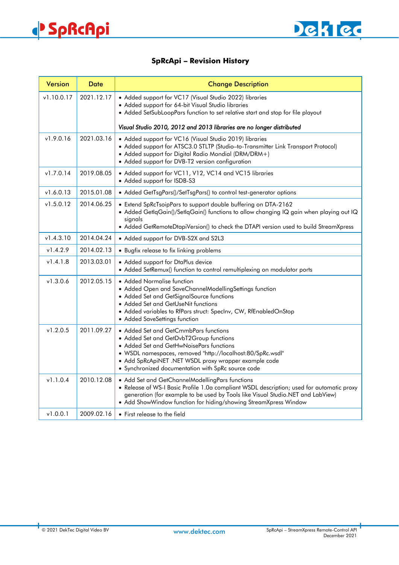

### **SpRcApi – Revision History**

<span id="page-2-0"></span>

| <b>Version</b> | Date       | <b>Change Description</b>                                                                                                                                                                                                                                                                                 |  |
|----------------|------------|-----------------------------------------------------------------------------------------------------------------------------------------------------------------------------------------------------------------------------------------------------------------------------------------------------------|--|
| v1.10.0.17     | 2021.12.17 | • Added support for VC17 (Visual Studio 2022) libraries<br>• Added support for 64-bit Visual Studio libraries<br>• Added SetSubLoopPars function to set relative start and stop for file playout                                                                                                          |  |
|                |            | Visual Studio 2010, 2012 and 2013 libraries are no longer distributed                                                                                                                                                                                                                                     |  |
| v1.9.0.16      | 2021.03.16 | • Added support for VC16 (Visual Studio 2019) libraries<br>• Added support for ATSC3.0 STLTP (Studio-to-Transmitter Link Transport Protocol)<br>• Added support for Digital Radio Mondial (DRM/DRM+)<br>• Added support for DVB-T2 version configuration                                                  |  |
| v1.7.0.14      | 2019.08.05 | • Added support for VC11, V12, VC14 and VC15 libraries<br>• Added support for ISDB-S3                                                                                                                                                                                                                     |  |
| v1.6.0.13      | 2015.01.08 | • Added GetTsgPars()/SetTsgPars() to control test-generator options                                                                                                                                                                                                                                       |  |
| v1.5.0.12      | 2014.06.25 | • Extend SpRcTsoipPars to support double buffering on DTA-2162<br>. Added GetlqGain()/SetlqGain() functions to allow changing IQ gain when playing out IQ<br>signals<br>• Added GetRemoteDtapiVersion() to check the DTAPI version used to build StreamXpress                                             |  |
| v1.4.3.10      | 2014.04.24 | • Added support for DVB-S2X and S2L3                                                                                                                                                                                                                                                                      |  |
| v1.4.2.9       | 2014.02.13 | • Bugfix release to fix linking problems                                                                                                                                                                                                                                                                  |  |
| v1.4.1.8       | 2013.03.01 | • Added support for DtaPlus device<br>• Added SetRemux() function to control remultiplexing on modulator ports                                                                                                                                                                                            |  |
| v1.3.0.6       | 2012.05.15 | • Added Normalise function<br>• Added Open and SaveChannelModellingSettings function<br>• Added Set and GetSignalSource functions<br>• Added Set and GetUseNit functions<br>• Added variables to RfPars struct: Speclnv, CW, RfEnabledOnStop<br>• Added SaveSettings function                             |  |
| v1.2.0.5       | 2011.09.27 | • Added Set and GetCmmbPars functions<br>• Added Set and GetDvbT2Group functions<br>• Added Set and GetHwNoisePars functions<br>• WSDL namespaces, removed "http://localhost:80/SpRc.wsdl"<br>• Add SpRcApiNET .NET WSDL proxy wrapper example code<br>• Synchronized documentation with SpRc source code |  |
| v1.1.0.4       | 2010.12.08 | • Add Set and GetChannelModellingPars functions<br>. Release of WS-I Basic Profile 1.0a compliant WSDL description; used for automatic proxy<br>generation (for example to be used by Tools like Visual Studio.NET and LabView)<br>• Add ShowWindow function for hiding/showing StreamXpress Window       |  |
| v1.0.0.1       | 2009.02.16 | • First release to the field                                                                                                                                                                                                                                                                              |  |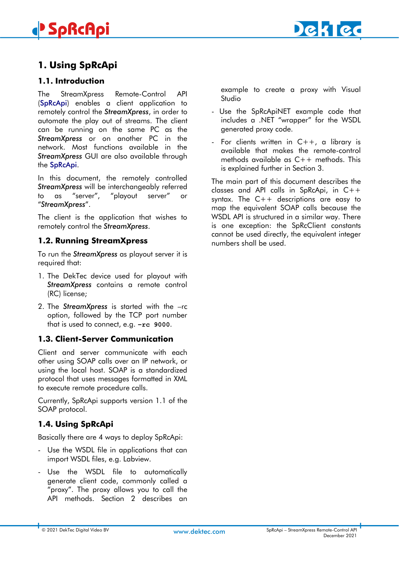# **SpRcApi**



# <span id="page-3-0"></span>**1. Using SpRcApi**

### <span id="page-3-1"></span>**1.1. Introduction**

The StreamXpress Remote-Control API (SpRcApi) enables a client application to remotely control the *StreamXpress*, in order to automate the play out of streams. The client can be running on the same PC as the *StreamXpress* or on another PC in the network. Most functions available in the *StreamXpress* GUI are also available through the SpRcApi.

In this document, the remotely controlled *StreamXpress* will be interchangeably referred to as "server", "playout server" or "*StreamXpress*".

The client is the application that wishes to remotely control the *StreamXpress*.

### <span id="page-3-2"></span>**1.2. Running StreamXpress**

To run the *StreamXpress* as playout server it is required that:

- 1. The DekTec device used for playout with *StreamXpress* contains a remote control (RC) license;
- 2. The *StreamXpress* is started with the –rc option, followed by the TCP port number that is used to connect, e.g. **–rc 9000**.

### <span id="page-3-3"></span>**1.3. Client-Server Communication**

Client and server communicate with each other using SOAP calls over an IP network, or using the local host. SOAP is a standardized protocol that uses messages formatted in XML to execute remote procedure calls.

Currently, SpRcApi supports version 1.1 of the SOAP protocol.

# <span id="page-3-4"></span>**1.4. Using SpRcApi**

Basically there are 4 ways to deploy SpRcApi:

- Use the WSDL file in applications that can import WSDL files, e.g. Labview.
- Use the WSDL file to automatically generate client code, commonly called a "proxy". The proxy allows you to call the API methods. Section 2 describes an

example to create a proxy with Visual Studio

- Use the SpRcApiNET example code that includes a .NET "wrapper" for the WSDL generated proxy code.
- For clients written in  $C++$ , a library is available that makes the remote-control methods available as C++ methods. This is explained further in Section 3.

The main part of this document describes the classes and API calls in SpRcApi, in C++ syntax. The C++ descriptions are easy to map the equivalent SOAP calls because the WSDL API is structured in a similar way. There is one exception: the SpRcClient constants cannot be used directly, the equivalent integer numbers shall be used.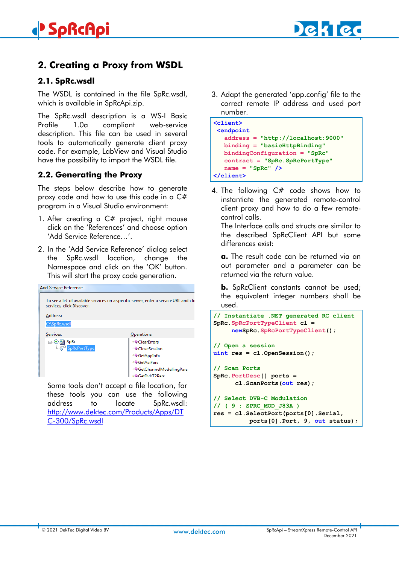



# <span id="page-4-0"></span>**2. Creating a Proxy from WSDL**

### <span id="page-4-1"></span>**2.1. SpRc.wsdl**

The WSDL is contained in the file SpRc.wsdl, which is available in SpRcApi.zip.

The SpRc.wsdl description is a WS-I Basic Profile 1.0a compliant web-service description. This file can be used in several tools to automatically generate client proxy code. For example, LabView and Visual Studio have the possibility to import the WSDL file.

### <span id="page-4-2"></span>**2.2. Generating the Proxy**

The steps below describe how to generate proxy code and how to use this code in a C# program in a Visual Studio environment:

- 1. After creating a C# project, right mouse click on the 'References' and choose option 'Add Service Reference…'.
- 2. In the 'Add Service Reference' dialog select the SpRc.wsdl location, change the Namespace and click on the 'OK' button. This will start the proxy code generation.

| <b>Add Service Reference</b> |                                                                                        |
|------------------------------|----------------------------------------------------------------------------------------|
| services, click Discover.    | To see a list of available services on a specific server, enter a service URL and cli- |
| Address:                     |                                                                                        |
| C:\SpRc.wsdl                 |                                                                                        |
| Services:                    | Operations:                                                                            |
| ⊟ ⊙ hall SpRc                | ≡© ClearErrors                                                                         |
| SpRcPortType                 | ≡© CloseSession                                                                        |
|                              | $\equiv$ GetAppInfo                                                                    |
|                              | ≡© GetAsiPars                                                                          |
|                              | = GetChannelModellingPars                                                              |
|                              | GetDybT2Parc                                                                           |

Some tools don't accept a file location, for these tools you can use the following address to locate SpRc.wsdl: [http://www.dektec.com/Products/Apps/DT](http://www.dektec.com/Products/Apps/DTC-300/SpRc.wsdl) [C-300/SpRc.wsdl](http://www.dektec.com/Products/Apps/DTC-300/SpRc.wsdl)

3. Adapt the generated 'app.config' file to the correct remote IP address and used port number.

| <client><br/><b><endpoint< b=""></endpoint<></b></client> |
|-----------------------------------------------------------|
|                                                           |
| $address = "http://localhost:9000"$                       |
| $binding = "basicHttpBinding"$                            |
| bindingConfiguration = "SpRc"                             |
| contract = "SpRc.SpRcPortType"                            |
| $name = "SpRc"$ />                                        |
|                                                           |

4. The following C# code shows how to instantiate the generated remote-control client proxy and how to do a few remotecontrol calls.

The Interface calls and structs are similar to the described SpRcClient API but some differences exist:

**a.** The result code can be returned via an out parameter and a parameter can be returned via the return value.

**b.** SpRcClient constants cannot be used; the equivalent integer numbers shall be used.

```
// Instantiate .NET generated RC client
SpRc.SpRcPortTypeClient cl =
      newSpRc.SpRcPortTypeClient();
// Open a session
uint res = cl.OpenSession();
// Scan Ports
SpRc.PortDesc[] ports = 
       cl.ScanPorts(out res);
// Select DVB-C Modulation 
// ( 9 : SPRC_MOD_J83A )
res = cl.SelectPort(ports[0].Serial,
           ports[0].Port, 9, out status);
```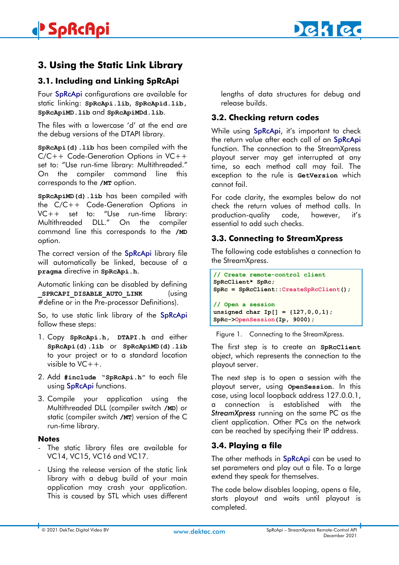# <span id="page-5-0"></span>**3. Using the Static Link Library**

# <span id="page-5-1"></span>**3.1. Including and Linking SpRcApi**

Four SpRcApi configurations are available for static linking: **SpRcApi.lib**, **SpRcApid.lib, SpRcApiMD.lib** and **SpRcApiMDd.lib**.

The files with a lowercase 'd' at the end are the debug versions of the DTAPI library.

**SpRcApi(d).lib** has been compiled with the C/C++ Code-Generation Options in VC++ set to: "Use run-time library: Multithreaded." On the compiler command line this corresponds to the **/MT** option.

**SpRcApiMD(d).lib** has been compiled with the C/C++ Code-Generation Options in VC++ set to: "Use run-time library: Multithreaded DLL." On the compiler command line this corresponds to the **/MD** option.

The correct version of the SpRcApi library file will automatically be linked, because of a **pragma** directive in **SpRcApi.h**.

Automatic linking can be disabled by defining **SPRCAPI DISABLE AUTO LINK** (using #define or in the Pre-processor Definitions).

So, to use static link library of the SpRcApi follow these steps:

- 1. Copy **SpRcApi.h, DTAPI.h** and either **SpRcApi(d).lib** or **SpRcApiMD(d).lib** to your project or to a standard location visible to  $VC++$ .
- 2. Add **#include "SpRcApi.h"** to each file using SpRcApi functions.
- 3. Compile your application using the Multithreaded DLL (compiler switch **/MD**) or static (compiler switch **/MT**) version of the C run-time library.

#### **Notes**

- The static library files are available for VC14, VC15, VC16 and VC17.
- Using the release version of the static link library with a debug build of your main application may crash your application. This is caused by STL which uses different

lengths of data structures for debug and release builds.

# <span id="page-5-2"></span>**3.2. Checking return codes**

While using SpRcApi, it's important to check the return value after each call of an SpRcApi function. The connection to the StreamXpress playout server may get interrupted at any time, so each method call may fail. The exception to the rule is **GetVersion** which cannot fail.

For code clarity, the examples below do not check the return values of method calls. In production-quality code, however, it's essential to add such checks.

## <span id="page-5-3"></span>**3.3. Connecting to StreamXpress**

The following code establishes a connection to the StreamXpress.

```
// Create remote-control client
SpRcClient* SpRc;
SpRc = SpRcClient::CreateSpRcClient();
// Open a session
unsigned char Ip[] = {127,0,0,1};
SpRc->OpenSession(Ip, 9000);
```
Figure 1. Connecting to the StreamXpress.

The first step is to create an **SpRcClient** object, which represents the connection to the playout server.

The next step is to open a session with the playout server, using **OpenSession**. In this case, using local loopback address 127.0.0.1, a connection is established with the *StreamXpress* running on the same PC as the client application. Other PCs on the network can be reached by specifying their IP address.

# <span id="page-5-4"></span>**3.4. Playing a file**

The other methods in **SpRcApi** can be used to set parameters and play out a file. To a large extend they speak for themselves.

The code below disables looping, opens a file, starts playout and waits until playout is completed.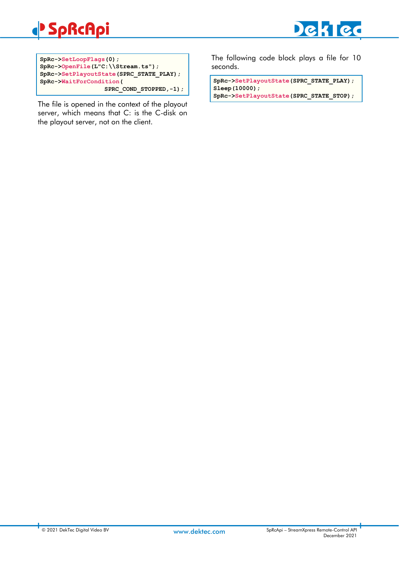# **SpRcApi**





The file is opened in the context of the playout server, which means that C: is the C-disk on the playout server, not on the client.

The following code block plays a file for 10 seconds.

**SpRc->SetPlayoutState(SPRC\_STATE\_PLAY); Sleep(10000); SpRc->SetPlayoutState(SPRC\_STATE\_STOP);**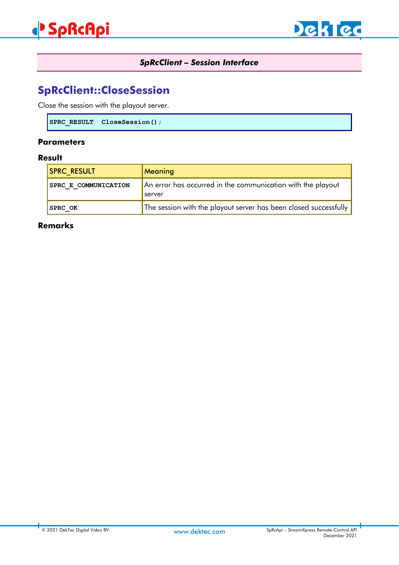

# *SpRcClient – Session Interface*

# <span id="page-7-1"></span><span id="page-7-0"></span>**SpRcClient::CloseSession**

Close the session with the playout server.

**SPRC\_RESULT CloseSession();**

#### **Parameters**

### **Result**

| <b>SPRC RESULT</b>   | <b>Meaning</b>                                                        |
|----------------------|-----------------------------------------------------------------------|
| SPRC E COMMUNICATION | An error has occurred in the communication with the playout<br>server |
| <b>SPRC OK</b>       | The session with the playout server has been closed successfully      |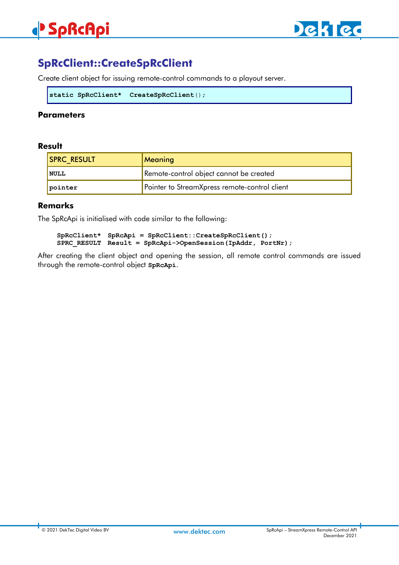# **SpRcApi**



# <span id="page-8-0"></span>**SpRcClient::CreateSpRcClient**

Create client object for issuing remote-control commands to a playout server.

```
static SpRcClient* CreateSpRcClient();
```
### **Parameters**

#### **Result**

| <b>SPRC RESULT</b> | Meaning                                       |
|--------------------|-----------------------------------------------|
| <b>NULL</b>        | Remote-control object cannot be created       |
| pointer            | Pointer to StreamXpress remote-control client |

#### **Remarks**

The SpRcApi is initialised with code similar to the following:

**SpRcClient\* SpRcApi = SpRcClient::CreateSpRcClient(); SPRC\_RESULT Result = SpRcApi->OpenSession(IpAddr, PortNr);**

After creating the client object and opening the session, all remote control commands are issued through the remote-control object **SpRcApi**.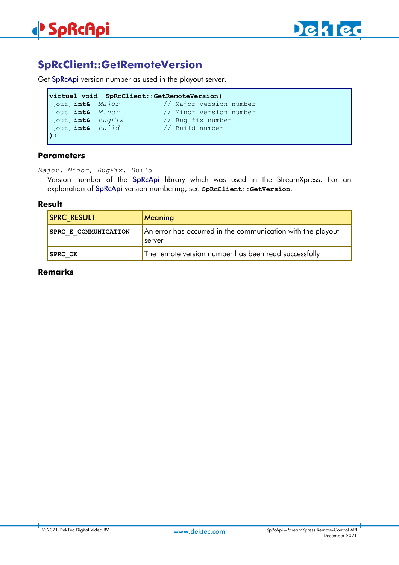

# <span id="page-9-0"></span>**SpRcClient::GetRemoteVersion**

Get SpRcApi version number as used in the playout server.

```
virtual void SpRcClient::GetRemoteVersion(
[out] int& Major // Major version number
                               [out] int& Minor // Minor version number
                               // Bug fix number
[out] int& BugFix // Bug fix numb<br>[out] int& Build // Build number
);
```
### **Parameters**

*Major, Minor, BugFix, Build*

Version number of the SpRcApi library which was used in the StreamXpress. For an explanation of SpRcApi version numbering, see **SpRcClient::GetVersion**.

#### **Result**

| <b>SPRC RESULT</b>   | Meaning                                                                      |
|----------------------|------------------------------------------------------------------------------|
| SPRC E COMMUNICATION | An error has occurred in the communication with the playout<br><b>Server</b> |
| <b>SPRC OK</b>       | The remote version number has been read successfully                         |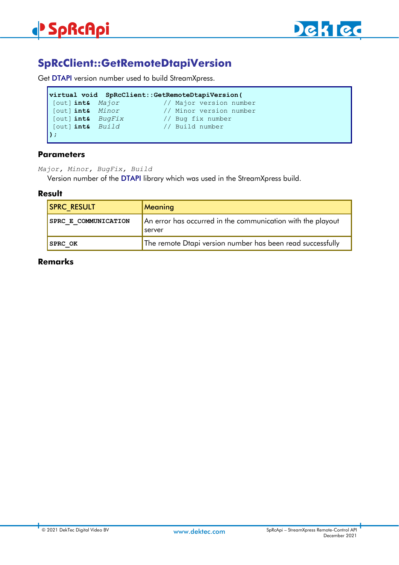

# <span id="page-10-0"></span>**SpRcClient::GetRemoteDtapiVersion**

Get DTAPI version number used to build StreamXpress.

|                   | virtual void SpRcClient::GetRemoteDtapiVersion( |
|-------------------|-------------------------------------------------|
| [out] int& Major  | // Major version number                         |
| [out] int& Minor  | // Minor version number                         |
| [out] int& BugFix | // Bug fix number                               |
| [out] int& Build  | // Build number                                 |
| D :               |                                                 |

### **Parameters**

*Major, Minor, BugFix, Build*

Version number of the DTAPI library which was used in the StreamXpress build.

#### **Result**

| <b>SPRC RESULT</b>   | Meaning                                                                      |
|----------------------|------------------------------------------------------------------------------|
| SPRC E COMMUNICATION | An error has occurred in the communication with the playout<br><b>Server</b> |
| <b>SPRC OK</b>       | The remote Dtapi version number has been read successfully                   |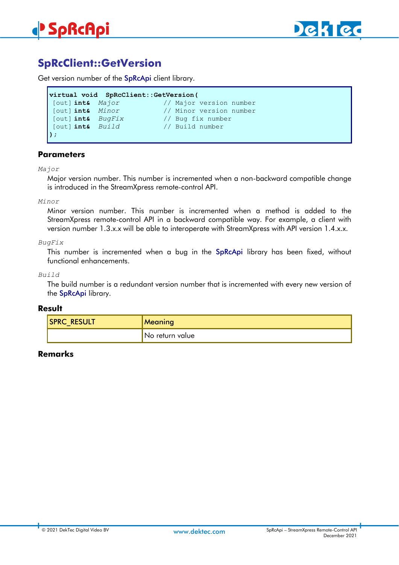

# <span id="page-11-0"></span>**SpRcClient::GetVersion**

Get version number of the SpRcApi client library.

```
virtual void SpRcClient::GetVersion(
[out] int& Major // Major version number
                          [out] int& Minor // Minor version number
[out] int& BugFix // Bug fix number
[out] int& Build // Build number
);
```
#### **Parameters**

*Major*

Major version number. This number is incremented when a non-backward compatible change is introduced in the StreamXpress remote-control API.

#### *Minor*

Minor version number. This number is incremented when a method is added to the StreamXpress remote-control API in a backward compatible way. For example, a client with version number 1.3.x.x will be able to interoperate with StreamXpress with API version 1.4.x.x.

#### *BugFix*

This number is incremented when a bug in the SpRcApi library has been fixed, without functional enhancements.

#### *Build*

The build number is a redundant version number that is incremented with every new version of the SpRcApi library.

#### **Result**

| <b>ISPRC RESULT</b><br>_ | <b>Meaning</b>  |
|--------------------------|-----------------|
|                          | No return value |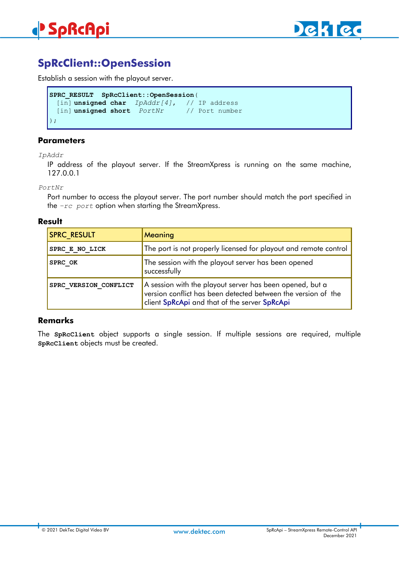

# <span id="page-12-0"></span>**SpRcClient::OpenSession**

Establish a session with the playout server.

```
SPRC_RESULT SpRcClient::OpenSession(
 [in] unsigned char IpAddr[4], // IP address
 [in] unsigned short PortNr // Port number
);
```
#### **Parameters**

*IpAddr*

IP address of the playout server. If the StreamXpress is running on the same machine, 127.0.0.1

*PortNr*

Port number to access the playout server. The port number should match the port specified in the *–rc port* option when starting the StreamXpress.

#### **Result**

| <b>SPRC RESULT</b>    | Meaning                                                                                                                                                                    |
|-----------------------|----------------------------------------------------------------------------------------------------------------------------------------------------------------------------|
| SPRC E NO LICK        | The port is not properly licensed for playout and remote control                                                                                                           |
| SPRC OK               | The session with the playout server has been opened<br>successfully                                                                                                        |
| SPRC VERSION CONFLICT | A session with the playout server has been opened, but a<br>version conflict has been detected between the version of the<br>client SpRcApi and that of the server SpRcApi |

#### **Remarks**

The **SpRcClient** object supports a single session. If multiple sessions are required, multiple **SpRcClient** objects must be created.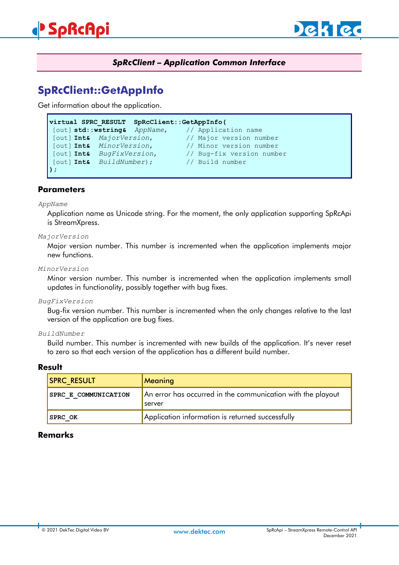

## *SpRcClient – Application Common Interface*

# <span id="page-13-1"></span><span id="page-13-0"></span>**SpRcClient::GetAppInfo**

Get information about the application.

| virtual SPRC RESULT SpRcClient::GetAppInfo( |  |                                                             |
|---------------------------------------------|--|-------------------------------------------------------------|
|                                             |  | [out] <b>std::wstring&amp;</b> AppName, // Application name |
| [out] Int& MajorVersion,                    |  | // Major version number                                     |
| [out] Int& MinorVersion,                    |  | // Minor version number                                     |
| [out] Int& BugFixVersion,                   |  | // Bug-fix version number                                   |
| [out] Int& BuildNumber);                    |  | // Build number                                             |
| $)$ ;                                       |  |                                                             |

#### **Parameters**

#### *AppName*

Application name as Unicode string. For the moment, the only application supporting SpRcApi is StreamXpress.

#### *MajorVersion*

Major version number. This number is incremented when the application implements major new functions.

#### *MinorVersion*

Minor version number. This number is incremented when the application implements small updates in functionality, possibly together with bug fixes.

*BugFixVersion*

Bug-fix version number. This number is incremented when the only changes relative to the last version of the application are bug fixes.

#### *BuildNumber*

Build number. This number is incremented with new builds of the application. It's never reset to zero so that each version of the application has a different build number.

#### **Result**

| <b>SPRC RESULT</b>   | Meaning                                                               |
|----------------------|-----------------------------------------------------------------------|
| SPRC E COMMUNICATION | An error has occurred in the communication with the playout<br>server |
| <b>SPRC OK</b>       | Application information is returned successfully                      |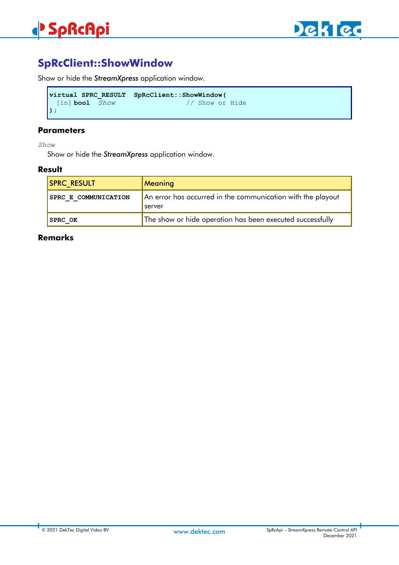

# <span id="page-14-0"></span>**SpRcClient::ShowWindow**

Show or hide the *StreamXpress* application window.

```
virtual SPRC_RESULT SpRcClient::ShowWindow(
 [in] bool Show
);
```
#### **Parameters**

*Show*

Show or hide the *StreamXpress* application window.

#### **Result**

| <b>SPRC RESULT</b>          | <b>Meaning</b>                                                               |
|-----------------------------|------------------------------------------------------------------------------|
| <b>SPRC E COMMUNICATION</b> | An error has occurred in the communication with the playout<br><b>Server</b> |
| <b>SPRC OK</b>              | The show or hide operation has been executed successfully                    |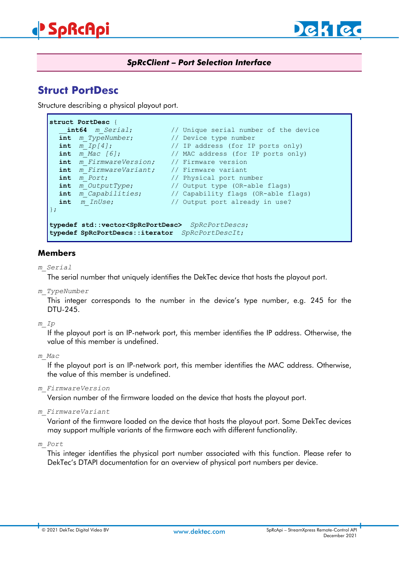

## *SpRcClient – Port Selection Interface*

# <span id="page-15-1"></span><span id="page-15-0"></span>**Struct PortDesc**

Structure describing a physical playout port.

```
struct PortDesc {
   __int64 m_Serial; // Unique serial number of the device
  int m_TypeNumber; // Device type number
  int m_Ip[4]; // IP address (for IP ports only)
  int m_Mac [6]; // MAC address (for IP ports only)
  int m_FirmwareVersion; // Firmware version 
  int m_FirmwareVariant; // Firmware variant 
  int m_Port; // Physical port number
  int m_OutputType; // Output type (OR-able flags)
  int m_Capabilities; // Capability flags (OR-able flags)<br>
int m InUse; // Output port already in use?
                            // Output port already in use?
};
typedef std::vector<SpRcPortDesc> SpRcPortDescs;
typedef SpRcPortDescs::iterator SpRcPortDescIt;
```
### **Members**

*m\_Serial*

The serial number that uniquely identifies the DekTec device that hosts the playout port.

*m\_TypeNumber*

This integer corresponds to the number in the device's type number, e.g. 245 for the DTU-245.

*m\_Ip*

If the playout port is an IP-network port, this member identifies the IP address. Otherwise, the value of this member is undefined.

*m\_Mac*

If the playout port is an IP-network port, this member identifies the MAC address. Otherwise, the value of this member is undefined.

*m\_FirmwareVersion*

Version number of the firmware loaded on the device that hosts the playout port.

*m\_FirmwareVariant*

Variant of the firmware loaded on the device that hosts the playout port. Some DekTec devices may support multiple variants of the firmware each with different functionality.

*m\_Port*

This integer identifies the physical port number associated with this function. Please refer to DekTec's DTAPI documentation for an overview of physical port numbers per device.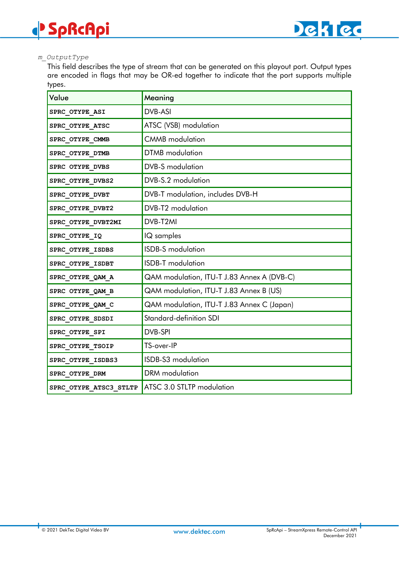#### *m\_OutputType*

**SpRcApi**

This field describes the type of stream that can be generated on this playout port. Output types are encoded in flags that may be OR-ed together to indicate that the port supports multiple types.

| Value                  | Meaning                                    |
|------------------------|--------------------------------------------|
| SPRC_OTYPE_ASI         | DVB-ASI                                    |
| SPRC_OTYPE_ATSC        | ATSC (VSB) modulation                      |
| SPRC_OTYPE_CMMB        | <b>CMMB</b> modulation                     |
| SPRC OTYPE DTMB        | <b>DTMB</b> modulation                     |
| SPRC OTYPE_DVBS        | <b>DVB-S</b> modulation                    |
| SPRC_OTYPE_DVBS2       | DVB-S.2 modulation                         |
| SPRC_OTYPE_DVBT        | DVB-T modulation, includes DVB-H           |
| SPRC OTYPE DVBT2       | DVB-T2 modulation                          |
| SPRC_OTYPE_DVBT2MI     | DVB-T2MI                                   |
| SPRC_OTYPE_IQ          | IQ samples                                 |
| SPRC OTYPE ISDBS       | <b>ISDB-S</b> modulation                   |
| SPRC_OTYPE_ISDBT       | <b>ISDB-T</b> modulation                   |
| SPRC_OTYPE_QAM_A       | QAM modulation, ITU-T J.83 Annex A (DVB-C) |
| SPRC OTYPE QAM B       | QAM modulation, ITU-T J.83 Annex B (US)    |
| SPRC OTYPE QAM C       | QAM modulation, ITU-T J.83 Annex C (Japan) |
| SPRC_OTYPE_SDSDI       | Standard-definition SDI                    |
| SPRC_OTYPE_SPI         | DVB-SPI                                    |
| SPRC OTYPE TSOIP       | TS-over-IP                                 |
| SPRC_OTYPE_ISDBS3      | ISDB-S3 modulation                         |
| SPRC_OTYPE_DRM         | DRM modulation                             |
| SPRC OTYPE ATSC3 STLTP | ATSC 3.0 STLTP modulation                  |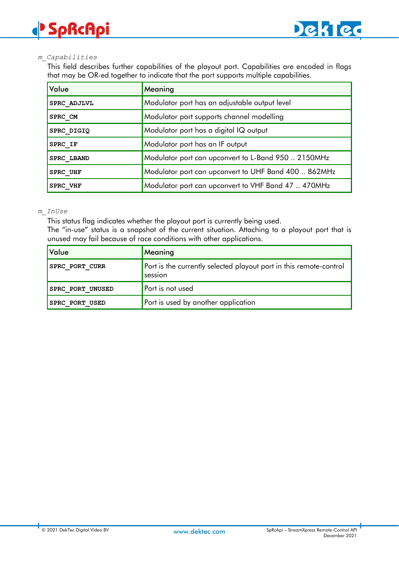#### *m\_Capabilities*

This field describes further capabilities of the playout port. Capabilities are encoded in flags that may be OR-ed together to indicate that the port supports multiple capabilities.

| Value             | Meaning                                              |
|-------------------|------------------------------------------------------|
| SPRC ADJLVL       | Modulator port has an adjustable output level        |
| SPRC CM           | Modulator port supports channel modelling            |
| SPRC DIGIQ        | Modulator port has a digital IQ output               |
| SPRC IF           | Modulator port has an IF output                      |
| <b>SPRC LBAND</b> | Modulator port can upconvert to L-Band 950  2150MHz  |
| SPRC UHF          | Modulator port can upconvert to UHF Band 400  862MHz |
| SPRC VHF          | Modulator port can upconvert to VHF Band 47  470MHz  |

#### *m\_InUse*

This status flag indicates whether the playout port is currently being used.

The "in-use" status is a snapshot of the current situation. Attaching to a playout port that is unused may fail because of race conditions with other applications.

| Value                 | Meaning                                                                       |
|-----------------------|-------------------------------------------------------------------------------|
| <b>SPRC PORT CURR</b> | Port is the currently selected playout port in this remote-control<br>session |
| SPRC PORT UNUSED      | <b>P</b> ort is not used                                                      |
| <b>SPRC PORT USED</b> | Port is used by another application                                           |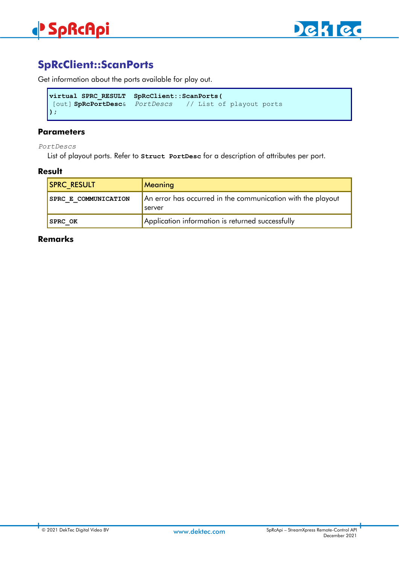# <span id="page-18-0"></span>**SpRcClient::ScanPorts**

Get information about the ports available for play out.

```
virtual SPRC_RESULT SpRcClient::ScanPorts(
[out] SpRcPortDesc& PortDescs // List of playout ports
);
```
### **Parameters**

*PortDescs*

List of playout ports. Refer to **Struct PortDesc** for a description of attributes per port.

#### **Result**

| <b>SPRC RESULT</b>   | <b>Meaning</b>                                                               |
|----------------------|------------------------------------------------------------------------------|
| SPRC E COMMUNICATION | An error has occurred in the communication with the playout<br><b>Server</b> |
| <b>SPRC OK</b>       | Application information is returned successfully                             |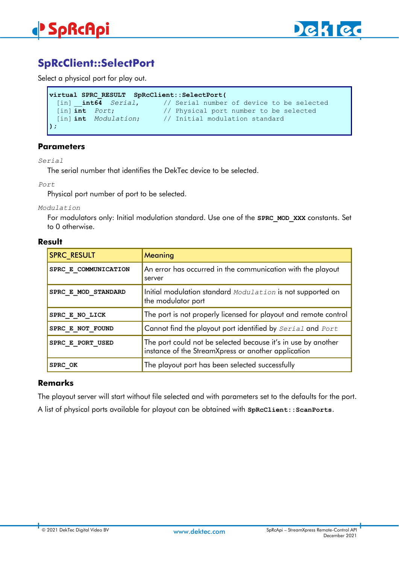

# <span id="page-19-0"></span>**SpRcClient::SelectPort**

Select a physical port for play out.

```
virtual SPRC_RESULT SpRcClient::SelectPort(
                         [in] __int64 Serial, // Serial number of device to be selected
 [in] int Port; // Physical port number to be selected
 [in] int Modulation; // Initial modulation standard 
);
```
#### **Parameters**

*Serial*

The serial number that identifies the DekTec device to be selected.

*Port*

Physical port number of port to be selected.

*Modulation*

For modulators only: Initial modulation standard. Use one of the **SPRC\_MOD\_XXX** constants. Set to 0 otherwise.

#### **Result**

| <b>SPRC RESULT</b>   | Meaning                                                                                                              |
|----------------------|----------------------------------------------------------------------------------------------------------------------|
| SPRC E COMMUNICATION | An error has occurred in the communication with the playout<br>server                                                |
| SPRC E MOD STANDARD  | Initial modulation standard Modulation is not supported on<br>the modulator port                                     |
| SPRC E NO LICK       | The port is not properly licensed for playout and remote control                                                     |
| SPRC E NOT FOUND     | Cannot find the playout port identified by Serial and Port                                                           |
| SPRC E PORT USED     | The port could not be selected because it's in use by another<br>instance of the StreamXpress or another application |
| SPRC OK              | The playout port has been selected successfully                                                                      |

### **Remarks**

The playout server will start without file selected and with parameters set to the defaults for the port.

A list of physical ports available for playout can be obtained with **SpRcClient::ScanPorts**.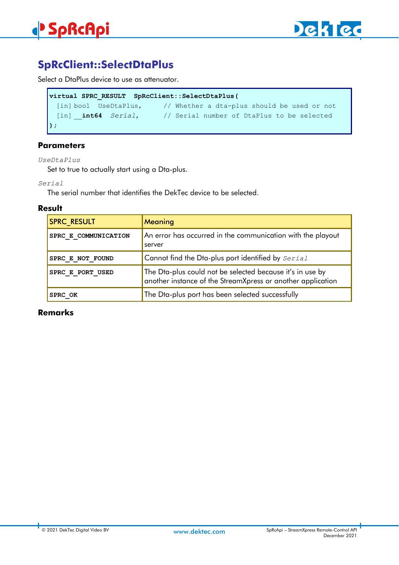

# <span id="page-20-0"></span>**SpRcClient::SelectDtaPlus**

Select a DtaPlus device to use as attenuator.

```
virtual SPRC_RESULT SpRcClient::SelectDtaPlus(
 [in] bool UseDtaPlus, // Whether a dta-plus should be used or not
 [in] __int64 Serial, // Serial number of DtaPlus to be selected
);
```
### **Parameters**

*UseDtaPlus*

Set to true to actually start using a Dta-plus.

*Serial*

The serial number that identifies the DekTec device to be selected.

#### **Result**

| <b>SPRC RESULT</b>   | Meaning                                                                                                                  |
|----------------------|--------------------------------------------------------------------------------------------------------------------------|
| SPRC E COMMUNICATION | An error has occurred in the communication with the playout<br>server                                                    |
| SPRC E NOT FOUND     | Cannot find the Dta-plus port identified by Serial                                                                       |
| SPRC E PORT USED     | The Dta-plus could not be selected because it's in use by<br>another instance of the StreamXpress or another application |
| <b>SPRC OK</b>       | The Dta-plus port has been selected successfully                                                                         |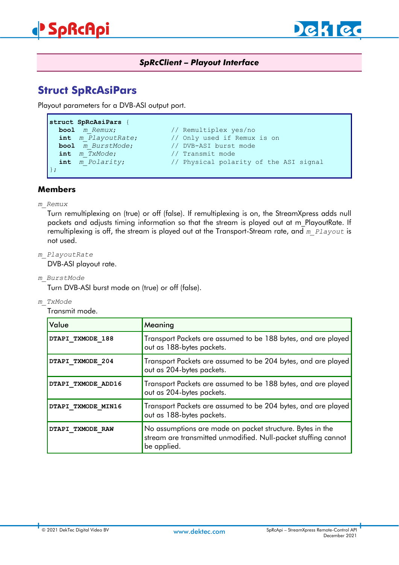

## *SpRcClient – Playout Interface*

# <span id="page-21-1"></span><span id="page-21-0"></span>**Struct SpRcAsiPars**

Playout parameters for a DVB-ASI output port.

```
struct SpRcAsiPars {
  bool m Remux; // Remultiplex yes/no
  int m_PlayoutRate; // Only used if Remux is on<br>
bool m BurstMode; // DVB-ASI burst mode
  bool m_BurstMode; // DVB-ASI burst mode<br>
int m TxMode; // Transmit mode
};
```
- 
- **int** *m\_TxMode*; // Transmit mode
- **int** *m\_Polarity*; // Physical polarity of the ASI signal

# **Members**

#### *m\_Remux*

Turn remultiplexing on (true) or off (false). If remultiplexing is on, the StreamXpress adds null packets and adjusts timing information so that the stream is played out at m\_PlayoutRate. If remultiplexing is off, the stream is played out at the Transport-Stream rate, and *m\_Playout* is not used.

*m\_PlayoutRate*

DVB-ASI playout rate.

*m\_BurstMode*

Turn DVB-ASI burst mode on (true) or off (false).

*m\_TxMode*

Transmit mode.

| Value              | Meaning                                                                                                                                    |
|--------------------|--------------------------------------------------------------------------------------------------------------------------------------------|
| DTAPI TXMODE 188   | Transport Packets are assumed to be 188 bytes, and are played<br>out as 188-bytes packets.                                                 |
| DTAPI TXMODE 204   | Transport Packets are assumed to be 204 bytes, and are played<br>out as 204-bytes packets.                                                 |
| DTAPI TXMODE ADD16 | Transport Packets are assumed to be 188 bytes, and are played<br>out as 204-bytes packets.                                                 |
| DTAPI TXMODE MIN16 | Transport Packets are assumed to be 204 bytes, and are played<br>out as 188-bytes packets.                                                 |
| DTAPI TXMODE RAW   | No assumptions are made on packet structure. Bytes in the<br>stream are transmitted unmodified. Null-packet stuffing cannot<br>be applied. |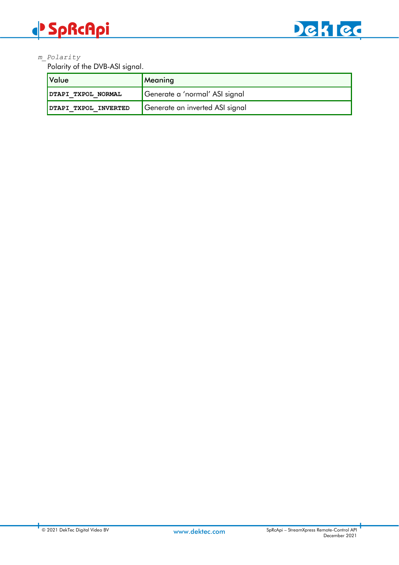# **SpRcApi**



### *m\_Polarity*

Polarity of the DVB-ASI signal.

| Value                | Meaning                         |
|----------------------|---------------------------------|
| DTAPI TXPOL NORMAL   | Generate a 'normal' ASI signal  |
| DTAPI TXPOL INVERTED | Generate an inverted ASI signal |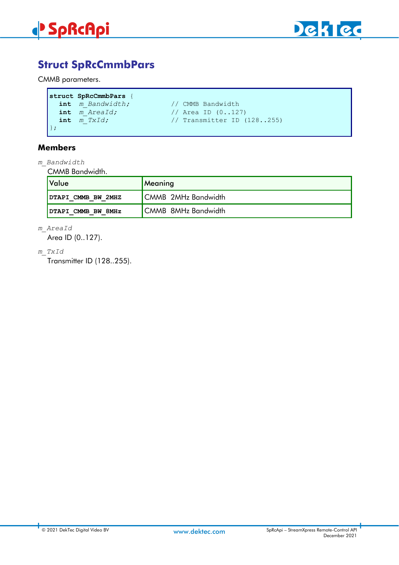



# <span id="page-23-0"></span>**Struct SpRcCmmbPars**

CMMB parameters.

```
struct SpRcCmmbPars {
   int m_Bandwidth; // CMMB Bandwidth<br>int m AreaId; // Area ID (0..12)
   int m_AreaId; // Area ID (0..127)<br>int m_TxId; // Transmitter ID (
                                          int m_TxId; // Transmitter ID (128..255)
};
```
### **Members**

*m\_Bandwidth*

CMMB Bandwidth.

| <u> </u> Value     | Meaning             |
|--------------------|---------------------|
| DTAPI CMMB BW 2MHZ | CMMB 2MHz Bandwidth |
| DTAPI CMMB BW 8MHz | CMMB 8MHz Bandwidth |

*m\_AreaId*

Area ID (0..127).

*m\_TxId*

Transmitter ID (128..255).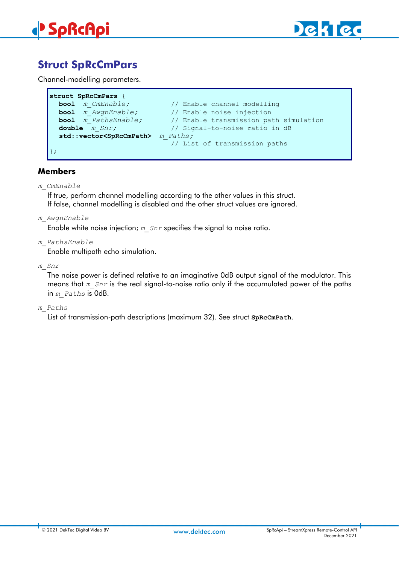

# <span id="page-24-0"></span>**Struct SpRcCmPars**

Channel-modelling parameters.

```
struct SpRcCmPars {
  bool m_CmEnable; // Enable channel modelling<br>
bool m AwgnEnable; // Enable noise injection
                                  bool m_AwgnEnable; // Enable noise injection 
  bool m_PathsEnable; // Enable transmission path simulation
  double m_Snr; // Signal-to-noise ratio in dB
  std::vector<SpRcCmPath> m_Paths;
                                  // List of transmission paths
};
```
### **Members**

*m\_CmEnable* 

If true, perform channel modelling according to the other values in this struct. If false, channel modelling is disabled and the other struct values are ignored.

*m\_AwgnEnable*

Enable white noise injection; *m\_Snr* specifies the signal to noise ratio.

*m\_PathsEnable*

Enable multipath echo simulation.

*m\_Snr*

The noise power is defined relative to an imaginative 0dB output signal of the modulator. This means that *m\_Snr* is the real signal-to-noise ratio only if the accumulated power of the paths in *m\_Paths* is 0dB.

#### *m\_Paths*

List of transmission-path descriptions (maximum 32). See struct **SpRcCmPath**.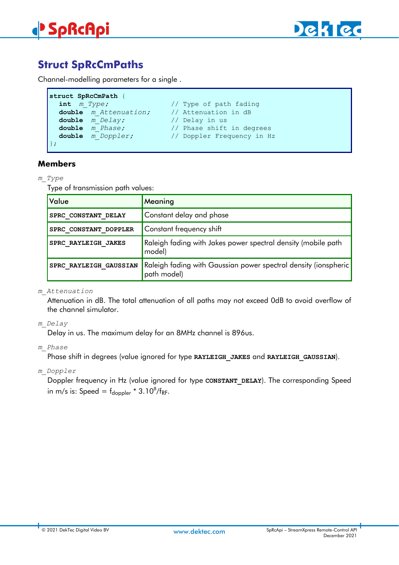



# <span id="page-25-0"></span>**Struct SpRcCmPaths**

Channel-modelling parameters for a single .

```
struct SpRcCmPath {
  int m Type; \frac{1}{2} // Type of path fading
  double m_Attenuation; // Attenuation in dB
  double m_Delay; // Delay in us
  double m_Phase; // Phase shift in degrees
                            double m_Doppler; // Doppler Frequency in Hz
};
```
#### **Members**

#### *m\_Type*

Type of transmission path values:

| Value                  | Meaning                                                                        |
|------------------------|--------------------------------------------------------------------------------|
| SPRC CONSTANT DELAY    | Constant delay and phase                                                       |
| SPRC CONSTANT DOPPLER  | Constant frequency shift                                                       |
| SPRC RAYLEIGH JAKES    | Raleigh fading with Jakes power spectral density (mobile path<br>model)        |
| SPRC RAYLEIGH GAUSSIAN | Raleigh fading with Gaussian power spectral density (ionspheric<br>path model) |

*m\_Attenuation*

Attenuation in dB. The total attenuation of all paths may not exceed 0dB to avoid overflow of the channel simulator.

*m\_Delay*

Delay in us. The maximum delay for an 8MHz channel is 896us.

#### *m\_Phase*

Phase shift in degrees (value ignored for type **RAYLEIGH\_JAKES** and **RAYLEIGH\_GAUSSIAN**).

*m\_Doppler*

Doppler frequency in Hz (value ignored for type **CONSTANT\_DELAY**). The corresponding Speed in m/s is: Speed =  $f_{\text{doppler}} * 3.10^8 / f_{\text{RF}}$ .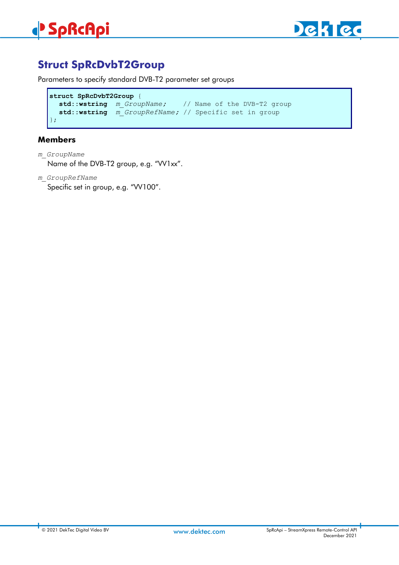

# <span id="page-26-0"></span>**Struct SpRcDvbT2Group**

Parameters to specify standard DVB-T2 parameter set groups

```
struct SpRcDvbT2Group {
  std::wstring m_GroupName; // Name of the DVB-T2 group
  std::wstring m_GroupRefName; // Specific set in group
};
```
## **Members**

- *m\_GroupName* Name of the DVB-T2 group, e.g. "VV1xx".
- *m\_GroupRefName* Specific set in group, e.g. "VV100".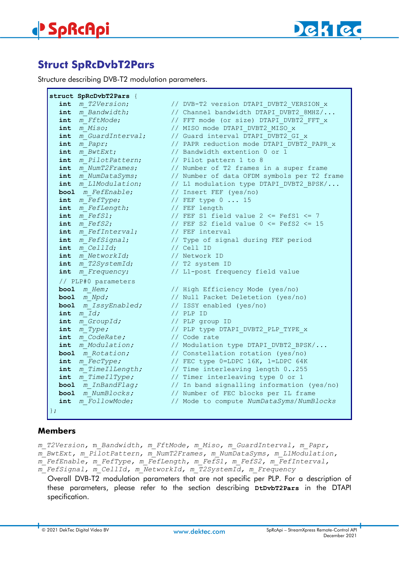

Г

# <span id="page-27-0"></span>**Struct SpRcDvbT2Pars**

Structure describing DVB-T2 modulation parameters.

|                     | struct SpRcDvbT2Pars {             |                                                                             |
|---------------------|------------------------------------|-----------------------------------------------------------------------------|
|                     | int m T2Version;                   | // DVB-T2 version DTAPI DVBT2 VERSION x                                     |
|                     | int m Bandwidth;                   | // Channel bandwidth DTAPI DVBT2 8MHZ/                                      |
|                     | int m FftMode;                     | // FFT mode (or size) DTAPI DVBT2 FFT x                                     |
|                     | $int$ $m$ $Miso$ ;                 | // MISO mode DTAPI DVBT2 MISO x                                             |
|                     | int m GuardInterval;               | // Guard interval DTAPI DVBT2 GI x                                          |
| int                 | m Papr;                            | // PAPR reduction mode DTAPI DVBT2 PAPR x                                   |
| int                 | m BwtExt;                          | // Bandwidth extention 0 or 1                                               |
| int                 | m PilotPattern;                    | // Pilot pattern 1 to 8                                                     |
|                     | int m NumT2Frames;                 | // Number of T2 frames in a super frame                                     |
|                     | int m NumDataSyms;                 | // Number of data OFDM symbols per T2 frame                                 |
|                     | int m L1Modulation;                | // L1 modulation type DTAPI DVBT2 BPSK/                                     |
|                     | bool m FefEnable;                  | // Insert FEF (yes/no)                                                      |
|                     | int m FefType;                     | // FEF type $0 \ldots 15$                                                   |
|                     | int m FefLength;                   | // FEF length                                                               |
| int                 | m FefS1;                           | // FEF S1 field value $2 \le$ FefS1 $\le$ 7                                 |
|                     | $int$ m $F \in f S2$ ;             | // FEF S2 field value $0 \le$ FefS2 $\le$ 15                                |
|                     | int m FefInterval; // FEF interval |                                                                             |
|                     | int m FefSignal;                   | // Type of signal during FEF period                                         |
|                     | int m CellId;                      | // Cell ID                                                                  |
|                     | int m NetworkId;                   | // Network ID                                                               |
|                     | int m T2SystemId;                  | // T2 system ID                                                             |
|                     | int m Frequency;                   | // L1-post frequency field value                                            |
|                     | // PLP#0 parameters                |                                                                             |
|                     | bool $m$ Hem;                      | // High Efficiency Mode (yes/no)                                            |
|                     | bool m Npd;                        | // Null Packet Deletetion (yes/no)                                          |
|                     | bool m IssyEnabled;                | // ISSY enabled (yes/no)                                                    |
|                     | $int$ $m$ $Id$ ;                   | $//$ PLP ID                                                                 |
|                     | int m GroupId;                     | // PLP group ID                                                             |
|                     | $int$ $m$ $Type$ ;                 | // PLP type DTAPI DVBT2 PLP TYPE x                                          |
|                     | int m CodeRate;                    | // Code rate                                                                |
|                     | int m Modulation;                  | // Modulation type DTAPI DVBT2 BPSK/                                        |
|                     | bool m Rotation;                   | // Constellation rotation (yes/no)                                          |
|                     | int m FecType;                     | // FEC type 0=LDPC 16K, 1=LDPC 64K                                          |
|                     |                                    | int m TimeIlLength; // Time interleaving length 0255                        |
|                     | int m TimeIlType;                  | // Timer interleaving type 0 or 1                                           |
|                     |                                    | <b>bool</b> <i>m_InBandFlag;</i> // In band signalling information (yes/no) |
|                     | bool m NumBlocks;                  | // Number of FEC blocks per IL frame                                        |
|                     | int m FollowMode;                  | // Mode to compute NumDataSyms/NumBlocks                                    |
| $\vert \ \rangle$ ; |                                    |                                                                             |

### **Members**

*m\_T2Version,* m*\_Bandwidth, m\_FftMode, m\_Miso, m\_GuardInterval, m\_Papr, m\_BwtExt, m\_PilotPattern, m\_NumT2Frames, m\_NumDataSyms, m\_L1Modulation, m\_FefEnable, m\_FefType, m\_FefLength, m\_FefS1, m\_FefS2, m\_FefInterval, m\_FefSignal, m\_CellId, m\_NetworkId, m\_T2SystemId, m\_Frequency*

Overall DVB-T2 modulation parameters that are not specific per PLP. For a description of these parameters, please refer to the section describing **DtDvbT2Pars** in the DTAPI specification.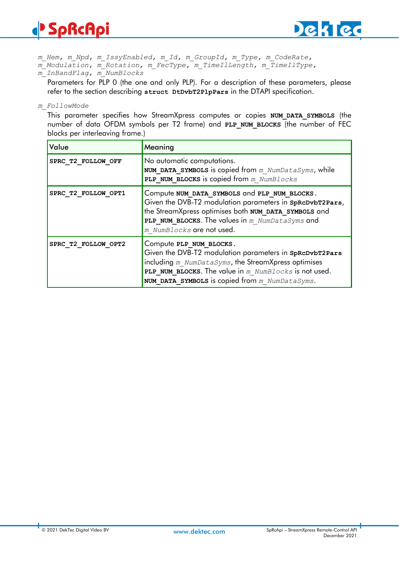# **SpRcApi**



*m\_Hem, m\_Npd, m\_IssyEnabled, m\_Id, m\_GroupId, m\_Type, m\_CodeRate, m\_Modulation, m\_Rotation, m\_FecType, m\_TimeIlLength, m\_TimeIlType,* 

*m\_InBandFlag, m\_NumBlocks* 

Parameters for PLP 0 (the one and only PLP). For a description of these parameters, please refer to the section describing **struct DtDvbT2PlpPars** in the DTAPI specification.

*m\_FollowMode* 

This parameter specifies how StreamXpress computes or copies **NUM\_DATA\_SYMBOLS** (the number of data OFDM symbols per T2 frame) and **PLP\_NUM\_BLOCKS** (the number of FEC blocks per interleaving frame.)

| Value               | Meaning                                                                                                                                                                                                                                                |
|---------------------|--------------------------------------------------------------------------------------------------------------------------------------------------------------------------------------------------------------------------------------------------------|
| SPRC T2 FOLLOW OFF  | No automatic computations.<br>NUM DATA SYMBOLS is copied from $m$ NumDataSyms, while<br>PLP NUM BLOCKS is copied from m NumBlocks                                                                                                                      |
| SPRC T2 FOLLOW OPT1 | Compute NUM DATA SYMBOLS and PLP NUM BLOCKS.<br>Given the DVB-T2 modulation parameters in SpRcDvbT2Pars,<br>the StreamXpress optimises both NUM DATA SYMBOLS and<br>PLP NUM BLOCKS. The values in $m$ NumDataSyms and<br>m NumBlocks are not used.     |
| SPRC T2 FOLLOW OPT2 | Compute PLP NUM BLOCKS.<br>Given the DVB-T2 modulation parameters in SpRcDvbT2Pars<br>including $m$ NumDataSyms, the StreamXpress optimises<br>PLP NUM BLOCKS. The value in m NumBlocks is not used.<br>NUM DATA SYMBOLS is copied from m NumDataSyms. |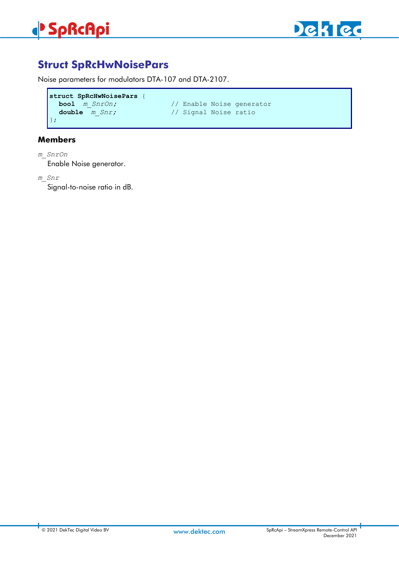



# <span id="page-29-0"></span>**Struct SpRcHwNoisePars**

Noise parameters for modulators DTA-107 and DTA-2107.

```
struct SpRcHwNoisePars {
  bool m_SnrOn; // Enable Noise generator<br>double m Snr; // Signal Noise ratio
};
```
**double** *m\_Snr;* // Signal Noise ratio

### **Members**

*m\_SnrOn*

Enable Noise generator.

*m\_Snr*

Signal-to-noise ratio in dB.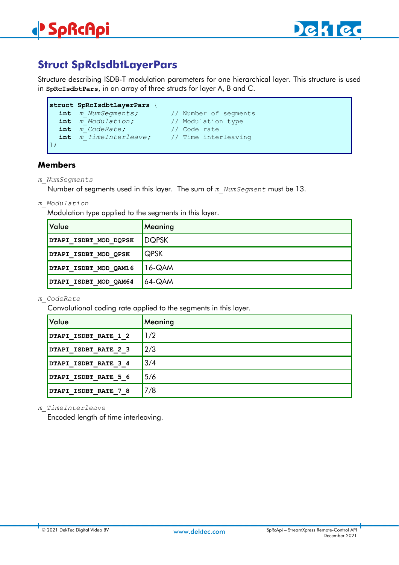# <span id="page-30-0"></span>**Struct SpRcIsdbtLayerPars**

Structure describing ISDB-T modulation parameters for one hierarchical layer. This structure is used in **SpRcIsdbtPars**, in an array of three structs for layer A, B and C.

```
struct SpRcIsdbtLayerPars {
 int m_NumSegments; // Number of segments
  int m_Modulation; // Modulation type
  int m_CodeRate; // Code rate
 int m_TimeInterleave; // Time interleaving
};
```
### **Members**

*m\_NumSegments*

Number of segments used in this layer. The sum of *m\_NumSegment* must be 13.

*m\_Modulation*

Modulation type applied to the segments in this layer.

| Value                 | Meaning     |
|-----------------------|-------------|
| DTAPI ISDBT MOD DQPSK | DQPSK       |
| DTAPI ISDBT MOD QPSK  | <b>QPSK</b> |
| DTAPI ISDBT MOD QAM16 | $16 - QAM$  |
| DTAPI ISDBT MOD QAM64 | $64 - QAM$  |

*m\_CodeRate*

Convolutional coding rate applied to the segments in this layer.

| Value                | Meaning |
|----------------------|---------|
| DTAPI ISDBT RATE 1 2 | 1/2     |
| DTAPI ISDBT RATE 2 3 | 2/3     |
| DTAPI ISDBT RATE 3 4 | 3/4     |
| DTAPI ISDBT RATE 5 6 | 5/6     |
| DTAPI ISDBT RATE 7 8 | 7/8     |

#### *m\_TimeInterleave*

Encoded length of time interleaving.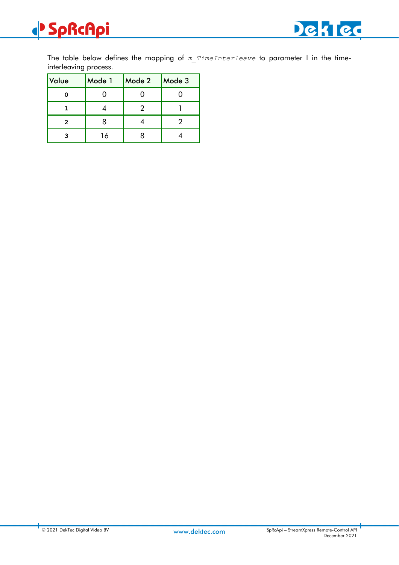

The table below defines the mapping of *m\_TimeInterleave* to parameter I in the timeinterleaving process.

| Value | Mode 1 | Mode 2 | Mode 3 |
|-------|--------|--------|--------|
|       |        |        |        |
|       |        |        |        |
| 2     |        |        |        |
|       | 16     |        |        |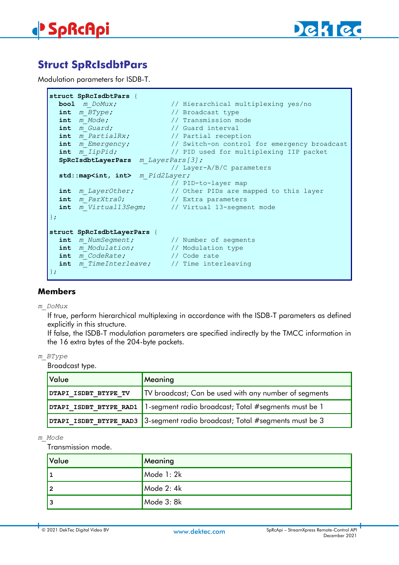



# <span id="page-32-0"></span>**Struct SpRcIsdbtPars**

Modulation parameters for ISDB-T.

```
struct SpRcIsdbtPars {
                              bool m_DoMux; // Hierarchical multiplexing yes/no
  int m_BType; // Broadcast type
                              i// Transmission mode<br>// Guard interval
  int \frac{m_{\text{Guard}}}{m_{\text{FartialRx}}}int m_PartialRx; // Partial reception<br>int m Emergency; // Switch-on control
                        int m_Emergency; // Switch-on control for emergency broadcast
  int m_IipPid; // PID used for multiplexing IIP packet
  SpRcIsdbtLayerPars m_LayerPars[3];
                                // Layer-A/B/C parameters
  std::map<int, int> m_Pid2Layer;
                               // PID-to-layer map
  int m_LayerOther; // Other PIDs are mapped to this layer
  int m_ParXtra0; // Extra parameters
  int m_Virtual13Segm; // Virtual 13-segment mode
};
struct SpRcIsdbtLayerPars {
  int m_MNumSegment; // Number of segments<br>int m_MModulation; // Modulation type
  int m_Modulation; // Modulation type
  int m_CodeRate; // Code rate
  int m_TimeInterleave; // Time interleaving
};
```
#### **Members**

#### *m\_DoMux*

If true, perform hierarchical multiplexing in accordance with the ISDB-T parameters as defined explicitly in this structure.

If false, the ISDB-T modulation parameters are specified indirectly by the TMCC information in the 16 extra bytes of the 204-byte packets.

#### *m\_BType*

Broadcast type.

| Value                | Meaning                                                                     |  |
|----------------------|-----------------------------------------------------------------------------|--|
| DTAPI ISDBT BTYPE TV | TV broadcast; Can be used with any number of segments                       |  |
|                      | DTAPI ISDBT BTYPE RAD1 1-segment radio broadcast; Total #segments must be 1 |  |
|                      | DTAPI ISDBT BTYPE RAD3 3-segment radio broadcast; Total #segments must be 3 |  |

#### *m\_Mode*

Transmission mode.

| Value | Meaning    |
|-------|------------|
| 1     | Mode 1: 2k |
| l 2   | Mode 2: 4k |
| 3     | Mode 3: 8k |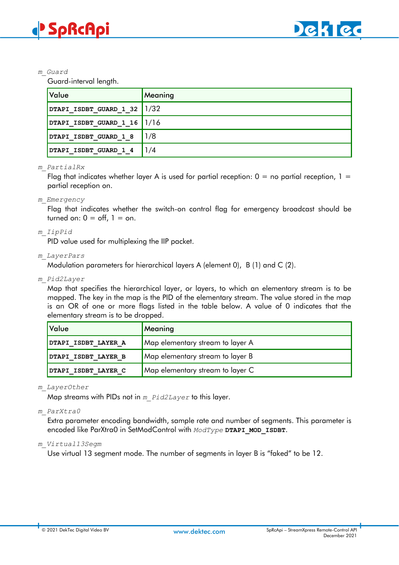

#### *m\_Guard*

Guard-interval length.

| <b>Value</b>                    | Meaning |
|---------------------------------|---------|
| DTAPI ISDBT GUARD 1 32 $ 1/32 $ |         |
| DTAPI ISDBT GUARD 1 16 $1/16$   |         |
| DTAPI ISDBT GUARD 1 8           | 1/8     |
| DTAPI ISDBT GUARD 1 4           | 1/4     |

#### *m\_PartialRx*

Flag that indicates whether layer A is used for partial reception:  $0 =$  no partial reception,  $1 =$ partial reception on.

#### *m\_Emergency*

Flag that indicates whether the switch-on control flag for emergency broadcast should be turned on:  $0 = \text{off}$ ,  $1 = \text{on}$ .

#### *m\_IipPid*

PID value used for multiplexing the IIP packet.

#### *m\_LayerPars*

Modulation parameters for hierarchical layers A (element 0), B (1) and C (2).

*m\_Pid2Layer*

Map that specifies the hierarchical layer, or layers, to which an elementary stream is to be mapped. The key in the map is the PID of the elementary stream. The value stored in the map is an OR of one or more flags listed in the table below. A value of 0 indicates that the elementary stream is to be dropped.

| Value               | Meaning                          |
|---------------------|----------------------------------|
| DTAPI ISDBT LAYER A | Map elementary stream to layer A |
| DTAPI ISDBT LAYER B | Map elementary stream to layer B |
| DTAPI ISDBT LAYER C | Map elementary stream to layer C |

#### *m\_LayerOther*

Map streams with PIDs not in *m\_Pid2Layer* to this layer.

#### *m\_ParXtra0*

Extra parameter encoding bandwidth, sample rate and number of segments. This parameter is encoded like ParXtra0 in SetModControl with *ModType* **DTAPI\_MOD\_ISDBT**.

#### *m\_Virtual13Segm*

Use virtual 13 segment mode. The number of segments in layer B is "faked" to be 12.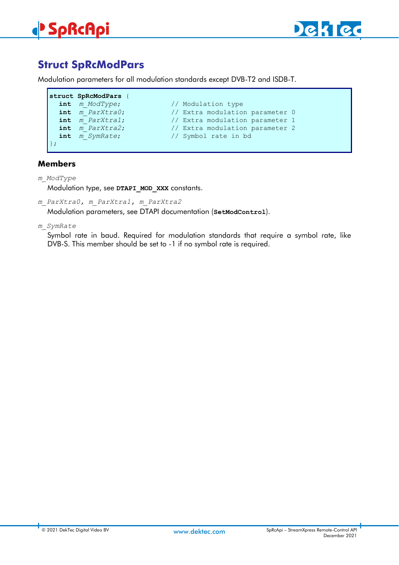

# <span id="page-34-0"></span>**Struct SpRcModPars**

Modulation parameters for all modulation standards except DVB-T2 and ISDB-T.

```
struct SpRcModPars {
   int m_ModType; // Modulation type<br>
int m ParXtra0; // Extra modulation
   int \overline{m} ParXtra0; // Extra modulation parameter 0<br>int \overline{m} ParXtra1; // Extra modulation parameter 1
                                              // Extra modulation parameter 1
   int m_ParXtra2; // Extra modulation parameter 2<br>
int m SymRate; // Symbol rate in bd
                                               int m_SymRate; // Symbol rate in bd
};
```
## **Members**

#### *m\_ModType*

Modulation type, see DTAPI MOD XXX constants.

*m\_ParXtra0, m\_ParXtra1, m\_ParXtra2*

Modulation parameters, see DTAPI documentation (**SetModControl**).

*m\_SymRate*

Symbol rate in baud. Required for modulation standards that require a symbol rate, like DVB-S. This member should be set to -1 if no symbol rate is required.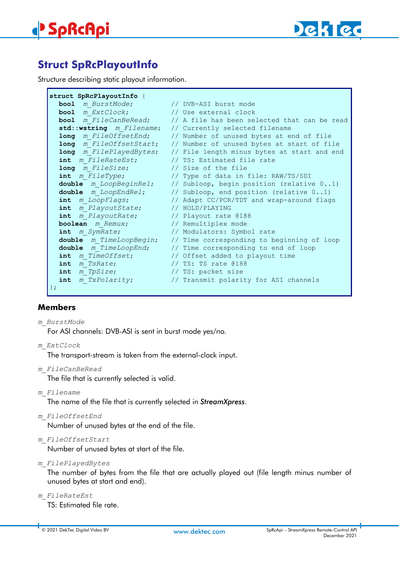

# <span id="page-35-0"></span>**Struct SpRcPlayoutInfo**

Structure describing static playout information.

```
struct SpRcPlayoutInfo {
  bool m_BurstMode; // DVB-ASI burst mode
  bool m_ExtClock; // Use external clock<br>
bool m_FileCanBeRead; // A_file has been se
                             // A file has been selected that can be read
  std::wstring m_Filename; // Currently selected filename
  long m_FileOffsetEnd; // Number of unused bytes at end of file
  long m_FileOffsetStart; // Number of unused bytes at start of file
  long m_FilePlayedBytes; // File length minus bytes at start and end
  int m_FileRateEst; // TS: Estimated file rate
  long m_FileSize; // Size of the file
  int m_FileType; // Type of data in file: RAW/TS/SDI
  double m_LoopBeginRel; // Subloop, begin position (relative 0..1)
  double m_LoopEndRel; // Subloop, end position (relative 0..1)
  int m_LoopFlags; // Adapt CC/PCR/TDT and wrap-around flags
  int m_PlayoutState; // HOLD/PLAYING
  int m_PlayoutRate; // Playout rate @188
 boolean m_Remux; // Remultiplex mode<br>
\begin{array}{ccc} \text{boolean} & m_R \text{S} \\ \text{P} & \text{P} \\ \text{P} & \text{P} \\ \text{P} & \text{P} \\ \end{array}int m_SymRate; // Modulators: Symbol rate
  double m_TimeLoopBegin; // Time corresponding to beginning of loop
  double m_TimeLoopEnd; // Time corresponding to end of loop
  int m_TimeOffset; // Offset added to playout time
  int m_TsRate; // TS: TS rate @188
  int m_TpSize; // TS: packet size
  int m_TxPolarity; // Transmit polarity for ASI channels
};
```
### **Members**

*m\_BurstMode*

For ASI channels: DVB-ASI is sent in burst mode yes/no.

*m\_ExtClock*

The transport-stream is taken from the external-clock input.

*m\_FileCanBeRead*

The file that is currently selected is valid.

*m\_Filename*

The name of the file that is currently selected in *StreamXpress*.

*m\_FileOffsetEnd*

Number of unused bytes at the end of the file.

*m\_FileOffsetStart*

Number of unused bytes at start of the file.

*m\_FilePlayedBytes*

The number of bytes from the file that are actually played out (file length minus number of unused bytes at start and end).

*m\_FileRateEst*

TS: Estimated file rate.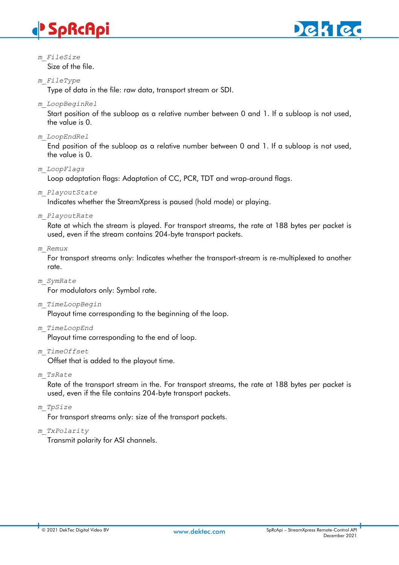# **SpRcApi**



*m\_FileSize* Size of the file.

# *m\_FileType*

Type of data in the file: raw data, transport stream or SDI.

*m\_LoopBeginRel*

Start position of the subloop as a relative number between 0 and 1. If a subloop is not used, the value is 0.

*m\_LoopEndRel*

End position of the subloop as a relative number between 0 and 1. If a subloop is not used, the value is 0.

*m\_LoopFlags*

Loop adaptation flags: Adaptation of CC, PCR, TDT and wrap-around flags.

*m\_PlayoutState*

Indicates whether the StreamXpress is paused (hold mode) or playing.

*m\_PlayoutRate*

Rate at which the stream is played. For transport streams, the rate at 188 bytes per packet is used, even if the stream contains 204-byte transport packets.

### *m\_Remux*

For transport streams only: Indicates whether the transport-stream is re-multiplexed to another rate.

*m\_SymRate*

For modulators only: Symbol rate.

*m\_TimeLoopBegin*

Playout time corresponding to the beginning of the loop.

*m\_TimeLoopEnd*

Playout time corresponding to the end of loop.

*m\_TimeOffset*

Offset that is added to the playout time.

*m\_TsRate*

Rate of the transport stream in the. For transport streams, the rate at 188 bytes per packet is used, even if the file contains 204-byte transport packets.

*m\_TpSize*

For transport streams only: size of the transport packets.

*m\_TxPolarity*

Transmit polarity for ASI channels.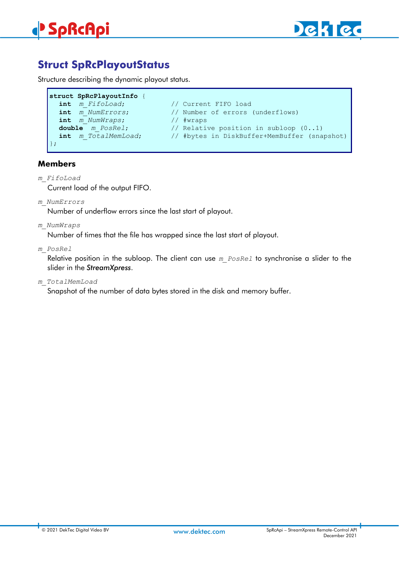



# **Struct SpRcPlayoutStatus**

Structure describing the dynamic playout status.

```
struct SpRcPlayoutInfo {
   int mFifoLoad; \left/ // Current FIFO load<br>
int m NumErrors; \left/ / Number of errors
                                          // Number of errors (underflows)
   int m_NumWraps; // #wraps
   double m_PosRel; // Relative position in subloop (0..1)<br>int m TotalMemLoad; // #bytes in DiskBuffer+MemBuffer (sna
                                          int m_TotalMemLoad; // #bytes in DiskBuffer+MemBuffer (snapshot)
};
```
# **Members**

#### *m\_FifoLoad*

Current load of the output FIFO.

*m\_NumErrors*

Number of underflow errors since the last start of playout.

*m\_NumWraps*

Number of times that the file has wrapped since the last start of playout.

*m\_PosRel*

Relative position in the subloop. The client can use *m\_PosRel* to synchronise a slider to the slider in the *StreamXpress*.

*m\_TotalMemLoad*

Snapshot of the number of data bytes stored in the disk and memory buffer.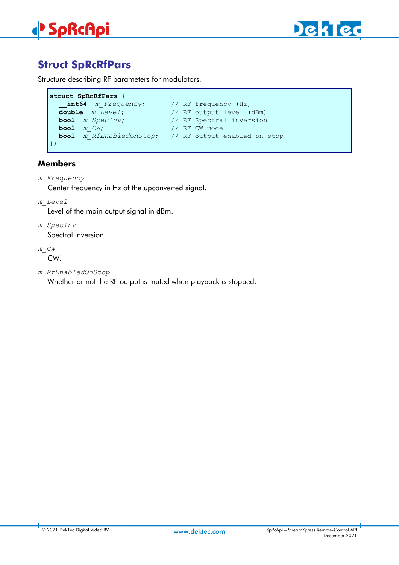



# **Struct SpRcRfPars**

Structure describing RF parameters for modulators.

```
struct SpRcRfPars {
   __int64 m_Frequency; // RF frequency (Hz)
  double m_Level; // RF output level (dBm)
  bool m_SpecInv; // RF Spectral inversion 
  bool m_CW; // RF CW mode 
                           bool m_RfEnabledOnStop; // RF output enabled on stop
};
```
# **Members**

- *m\_Frequency* Center frequency in Hz of the upconverted signal.
- *m\_Level*

Level of the main output signal in dBm.

*m\_SpecInv*

Spectral inversion.

*m\_CW*

CW.

*m\_RfEnabledOnStop*

Whether or not the RF output is muted when playback is stopped.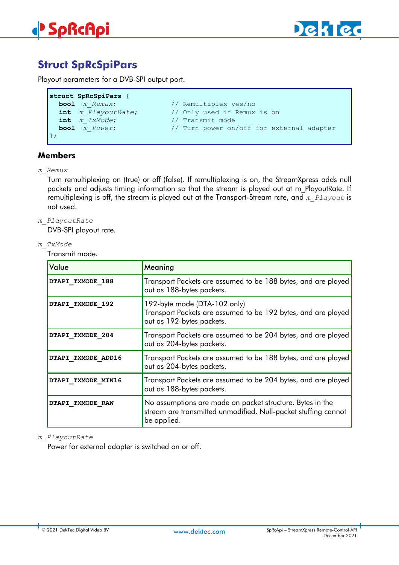



# **Struct SpRcSpiPars**

Playout parameters for a DVB-SPI output port.

```
struct SpRcSpiPars {
  bool m_Remux; // Remultiplex yes/no<br>
int m PlayoutRate; // Only used if Remux
  int m_PlayoutRate; // Only used if Remux is on<br>
int m TxMode; // Transmit mode
                                      int m_TxMode; // Transmit mode
  bool m_Power; // Turn power on/off for external adapter
};
```
# **Members**

*m\_Remux*

Turn remultiplexing on (true) or off (false). If remultiplexing is on, the StreamXpress adds null packets and adjusts timing information so that the stream is played out at m\_PlayoutRate. If remultiplexing is off, the stream is played out at the Transport-Stream rate, and *m\_Playout* is not used.

*m\_PlayoutRate*

DVB-SPI playout rate.

*m\_TxMode*

Transmit mode.

| Value              | Meaning                                                                                                                                    |
|--------------------|--------------------------------------------------------------------------------------------------------------------------------------------|
| DTAPI TXMODE 188   | Transport Packets are assumed to be 188 bytes, and are played<br>out as 188-bytes packets.                                                 |
| DTAPI TXMODE 192   | 192-byte mode (DTA-102 only)<br>Transport Packets are assumed to be 192 bytes, and are played<br>out as 192-bytes packets.                 |
| DTAPI TXMODE 204   | Transport Packets are assumed to be 204 bytes, and are played<br>out as 204-bytes packets.                                                 |
| DTAPI TXMODE ADD16 | Transport Packets are assumed to be 188 bytes, and are played<br>out as 204-bytes packets.                                                 |
| DTAPI TXMODE MIN16 | Transport Packets are assumed to be 204 bytes, and are played<br>out as 188-bytes packets.                                                 |
| DTAPI TXMODE RAW   | No assumptions are made on packet structure. Bytes in the<br>stream are transmitted unmodified. Null-packet stuffing cannot<br>be applied. |

#### *m\_PlayoutRate*

Power for external adapter is switched on or off.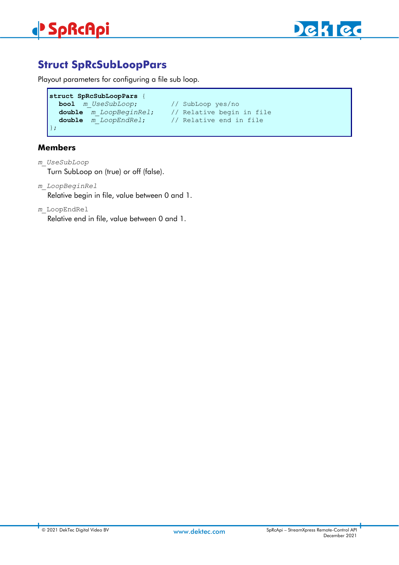

# **Struct SpRcSubLoopPars**

Playout parameters for configuring a file sub loop.

```
struct SpRcSubLoopPars {
 bool m_UseSubLoop; // SubLoop yes/no
  double m_LoopBeginRel; // Relative begin in file
  double m_LoopEndRel; // Relative end in file
};
```
# **Members**

*m\_UseSubLoop* Turn SubLoop on (true) or off (false).

*m\_LoopBeginRel*

Relative begin in file, value between 0 and 1.

*m\_*LoopEndRel

Relative end in file, value between 0 and 1.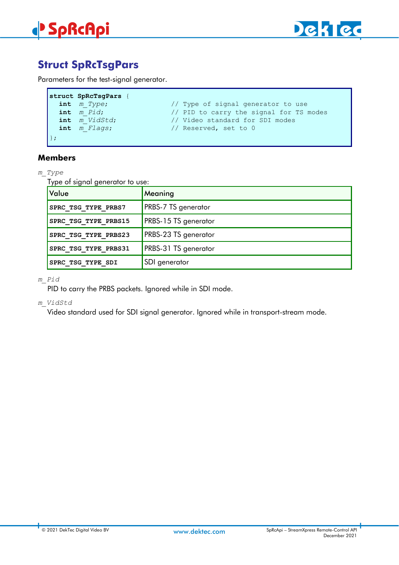

# **Struct SpRcTsgPars**

Parameters for the test-signal generator.

| struct SpRcTsqPars |                                         |
|--------------------|-----------------------------------------|
| $int$ $m$ $Type;$  | // Type of signal generator to use      |
| $int \t m$ $Pid$ ; | // PID to carry the signal for TS modes |
| int m VidStd;      | // Video standard for SDI modes         |
| int m Flags;       | // Reserved, set to 0                   |
|                    |                                         |

# **Members**

### *m\_Type*

Г

Type of signal generator to use:

| Value                | Meaning                     |
|----------------------|-----------------------------|
| SPRC TSG TYPE PRBS7  | <b>PRBS-7 TS</b> generator  |
| SPRC TSG TYPE PRBS15 | <b>PRBS-15 TS generator</b> |
| SPRC TSG TYPE PRBS23 | <b>PRBS-23 TS</b> generator |
| SPRC TSG TYPE PRBS31 | <b>PRBS-31 TS</b> generator |
| SPRC TSG TYPE SDI    | SDI generator               |

#### *m\_Pid*

PID to carry the PRBS packets. Ignored while in SDI mode.

#### *m\_VidStd*

Video standard used for SDI signal generator. Ignored while in transport-stream mode.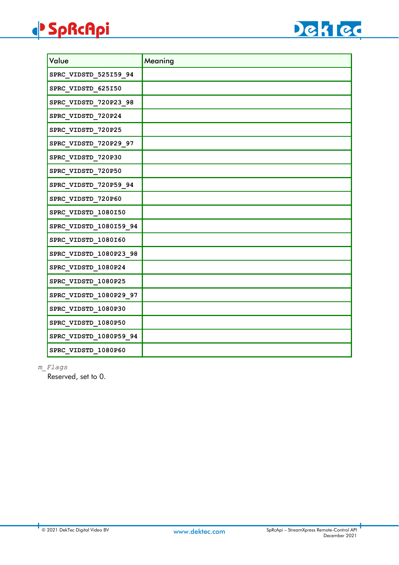# **SpRcApi**



| Value                  | Meaning |
|------------------------|---------|
| SPRC_VIDSTD_525159_94  |         |
| SPRC_VIDSTD_625150     |         |
| SPRC_VIDSTD_720P23_98  |         |
| SPRC_VIDSTD_720P24     |         |
| SPRC_VIDSTD_720P25     |         |
| SPRC_VIDSTD_720P29_97  |         |
| SPRC_VIDSTD_720P30     |         |
| SPRC_VIDSTD_720P50     |         |
| SPRC_VIDSTD_720P59_94  |         |
| SPRC_VIDSTD_720P60     |         |
| SPRC_VIDSTD_1080150    |         |
| SPRC_VIDSTD_1080159_94 |         |
| SPRC_VIDSTD_1080160    |         |
| SPRC_VIDSTD_1080P23_98 |         |
| SPRC_VIDSTD_1080P24    |         |
| SPRC_VIDSTD_1080P25    |         |
| SPRC_VIDSTD_1080P29_97 |         |
| SPRC_VIDSTD_1080P30    |         |
| SPRC_VIDSTD_1080P50    |         |
| SPRC_VIDSTD_1080P59_94 |         |
| SPRC VIDSTD 1080P60    |         |

*m\_Flags*

Reserved, set to 0.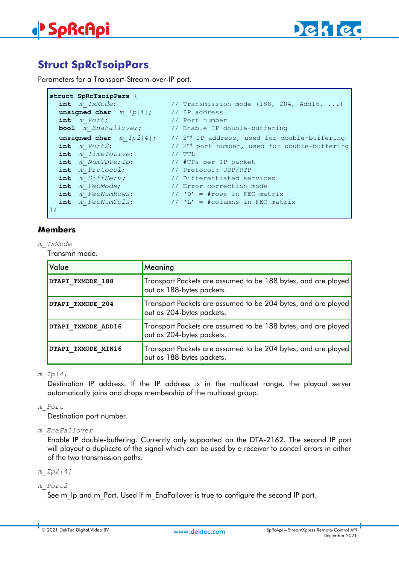

# **Struct SpRcTsoipPars**

Parameters for a Transport-Stream-over-IP port.

```
struct SpRcTsoipPars {
  int m TxMode; \frac{1}{2} // Transmission mode (188, 204, Add16, ...)
  unsigned char m_Ip[4]; // IP address
  int m_Port; // Port number
  bool m_EnaFallover; // Enable IP double-buffering
  unsigned char m\_IP2[4]; // 2^{nd} IP address, used for double-buffering <br>int m Port2; // 2^{nd} port number, used for double-buffering
                                     // 2<sup>nd</sup> port number, used for double-buffering<br>// TTL
  int \overline{m} TimeToLive;
  int m_NumTpPerIp; // #TPs per IP packet<br>int m_Protocol; // Protocol: UDP/RTP
                                     int m_Protocol; // Protocol: UDP/RTP
  int m_DiffServ; // Differentiated services
  int m_FecMode; // Error correction mode
  int m_FecNumRows; // 'D' = #rows in FEC matrix<br>
int m FecNumCols; // 'L' = #columns in FEC mat
                                     \frac{1}{\sqrt{2}} \frac{1}{\sqrt{2}} = #columns in FEC matrix
};
```
# **Members**

*m\_TxMode*

Transmit mode.

| Value              | Meaning                                                                                    |
|--------------------|--------------------------------------------------------------------------------------------|
| DTAPI TXMODE 188   | Transport Packets are assumed to be 188 bytes, and are played<br>out as 188-bytes packets. |
| DTAPI TXMODE 204   | Transport Packets are assumed to be 204 bytes, and are played<br>out as 204-bytes packets. |
| DTAPI TXMODE ADD16 | Transport Packets are assumed to be 188 bytes, and are played<br>out as 204-bytes packets. |
| DTAPI TXMODE MIN16 | Transport Packets are assumed to be 204 bytes, and are played<br>out as 188-bytes packets. |

### *m\_Ip[4]*

Destination IP address. If the IP address is in the multicast range, the playout server automatically joins and drops membership of the multicast group.

### *m\_Port*

Destination port number.

### *m\_EnaFallover*

Enable IP double-buffering. Currently only supported on the DTA-2162. The second IP port will playout a duplicate of the signal which can be used by a receiver to conceil errors in either of the two transmission paths.

*m\_Ip2[4]*

### *m\_Port2*

See m\_Ip and m\_Port. Used if m\_EnaFallover is true to configure the second IP port.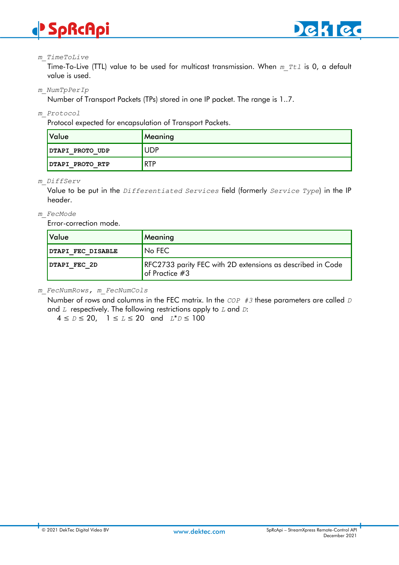



#### *m\_TimeToLive*

Time-To-Live (TTL) value to be used for multicast transmission. When *m\_Ttl* is 0, a default value is used.

*m\_NumTpPerIp*

Number of Transport Packets (TPs) stored in one IP packet. The range is 1..7.

*m\_Protocol*

Protocol expected for encapsulation of Transport Packets.

| Value           | Meaning    |
|-----------------|------------|
| DTAPI PROTO UDP | UDP        |
| DTAPI PROTO RTP | <b>RTP</b> |

#### *m\_DiffServ*

Value to be put in the *Differentiated Services* field (formerly *Service Type*) in the IP header.

#### *m\_FecMode*

Error-correction mode.

| <u> </u> Value    | <b>Meaning</b>                                                                       |
|-------------------|--------------------------------------------------------------------------------------|
| DTAPI FEC DISABLE | No FEC                                                                               |
| DTAPI FEC 2D      | RFC2733 parity FEC with 2D extensions as described in Code<br>$\vert$ of Practice #3 |

*m\_FecNumRows, m\_FecNumCols*

Number of rows and columns in the FEC matrix. In the *COP #3* these parameters are called *D*  and *L* respectively. The following restrictions apply to *L* and *D*:

4 ≤ *D* ≤ 20, 1 ≤ *L* ≤ 20 and *L*\**D* ≤ 100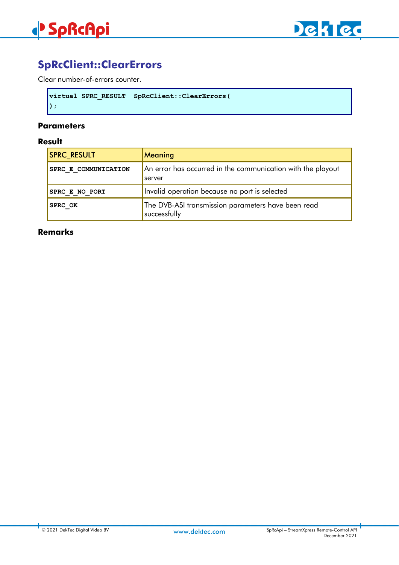

# **SpRcClient::ClearErrors**

Clear number-of-errors counter.

```
virtual SPRC_RESULT SpRcClient::ClearErrors(
);
```
### **Parameters**

#### **Result**

| <b>SPRC RESULT</b>    | Meaning                                                               |
|-----------------------|-----------------------------------------------------------------------|
| SPRC E COMMUNICATION  | An error has occurred in the communication with the playout<br>server |
| <b>SPRC E NO PORT</b> | Invalid operation because no port is selected                         |
| <b>SPRC OK</b>        | The DVB-ASI transmission parameters have been read<br>successfully    |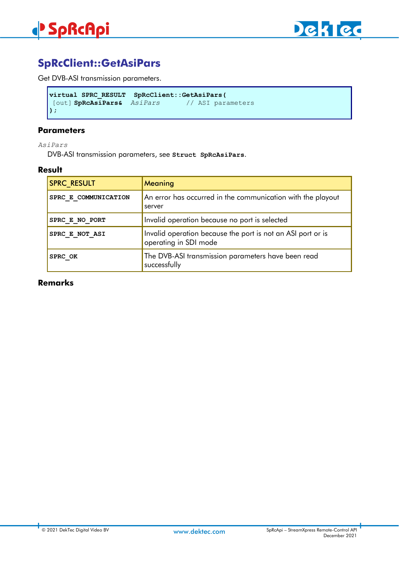

# **SpRcClient::GetAsiPars**

Get DVB-ASI transmission parameters.

```
virtual SPRC_RESULT SpRcClient::GetAsiPars(
[out] SpRcAsiPars& AsiPars
);
```
#### **Parameters**

*AsiPars*

DVB-ASI transmission parameters, see **Struct SpRcAsiPars**.

### **Result**

| <b>SPRC RESULT</b>   | Meaning                                                                              |
|----------------------|--------------------------------------------------------------------------------------|
| SPRC E COMMUNICATION | An error has occurred in the communication with the playout<br>server                |
| SPRC E NO PORT       | Invalid operation because no port is selected                                        |
| SPRC E NOT ASI       | Invalid operation because the port is not an ASI port or is<br>operating in SDI mode |
| SPRC OK              | The DVB-ASI transmission parameters have been read<br>successfully                   |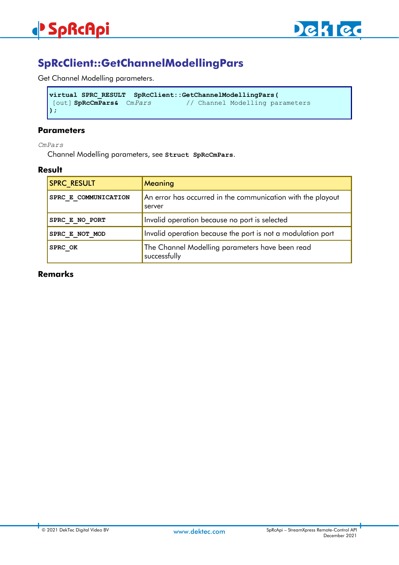

# **SpRcClient::GetChannelModellingPars**

Get Channel Modelling parameters.

```
virtual SPRC_RESULT SpRcClient::GetChannelModellingPars(
                                   [out] SpRcCmPars& CmPars // Channel Modelling parameters
);
```
#### **Parameters**

*CmPars*

Channel Modelling parameters, see **Struct SpRcCmPars**.

### **Result**

| <b>SPRC RESULT</b>   | Meaning                                                               |
|----------------------|-----------------------------------------------------------------------|
| SPRC E COMMUNICATION | An error has occurred in the communication with the playout<br>server |
| SPRC E NO PORT       | Invalid operation because no port is selected                         |
| SPRC E NOT MOD       | Invalid operation because the port is not a modulation port           |
| SPRC OK              | The Channel Modelling parameters have been read<br>successfully       |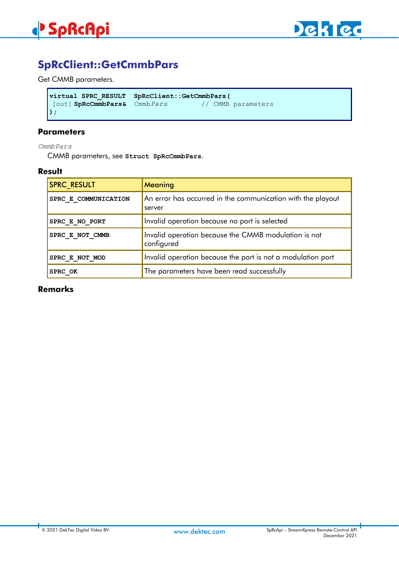



# **SpRcClient::GetCmmbPars**

Get CMMB parameters.

```
virtual SPRC_RESULT SpRcClient::GetCmmbPars(
[out] SpRcCmmbPars& CmmbPars // CMMB parameters
);
```
### **Parameters**

*CmmbPars*

CMMB parameters, see **Struct SpRcCmmbPars**.

### **Result**

| <b>SPRC RESULT</b>   | Meaning                                                               |
|----------------------|-----------------------------------------------------------------------|
| SPRC E COMMUNICATION | An error has occurred in the communication with the playout<br>server |
| SPRC E NO PORT       | Invalid operation because no port is selected                         |
| SPRC E NOT CMMB      | Invalid operation because the CMMB modulation is not<br>configured    |
| SPRC E NOT MOD       | Invalid operation because the port is not a modulation port           |
| SPRC OK              | The parameters have been read successfully                            |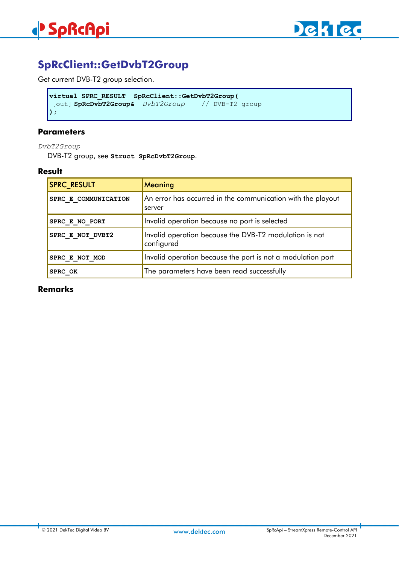

# **SpRcClient::GetDvbT2Group**

Get current DVB-T2 group selection.

```
virtual SPRC_RESULT SpRcClient::GetDvbT2Group(
[out] SpRcDvbT2Group& DvbT2Group // DVB-T2 group
);
```
# **Parameters**

*DvbT2Group*

DVB-T2 group, see **Struct SpRcDvbT2Group**.

### **Result**

| <b>SPRC RESULT</b>   | Meaning                                                               |
|----------------------|-----------------------------------------------------------------------|
| SPRC E COMMUNICATION | An error has occurred in the communication with the playout<br>server |
| SPRC E NO PORT       | Invalid operation because no port is selected                         |
| SPRC E NOT DVBT2     | Invalid operation because the DVB-T2 modulation is not<br>configured  |
| SPRC E NOT MOD       | Invalid operation because the port is not a modulation port           |
| SPRC OK              | The parameters have been read successfully                            |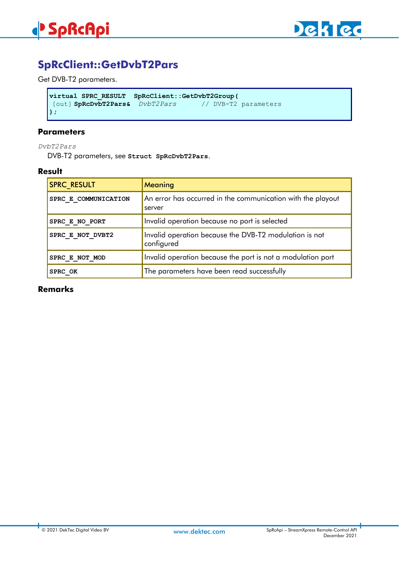

# **SpRcClient::GetDvbT2Pars**

Get DVB-T2 parameters.

```
virtual SPRC_RESULT SpRcClient::GetDvbT2Group(
[out] SpRcDvbT2Pars& DvbT2Pars // DVB-T2 parameters
);
```
### **Parameters**

*DvbT2Pars*

DVB-T2 parameters, see **Struct SpRcDvbT2Pars**.

### **Result**

| <b>SPRC RESULT</b>   | Meaning                                                               |
|----------------------|-----------------------------------------------------------------------|
| SPRC E COMMUNICATION | An error has occurred in the communication with the playout<br>server |
| SPRC E NO PORT       | Invalid operation because no port is selected                         |
| SPRC E NOT DVBT2     | Invalid operation because the DVB-T2 modulation is not<br>configured  |
| SPRC E NOT MOD       | Invalid operation because the port is not a modulation port           |
| SPRC OK              | The parameters have been read successfully                            |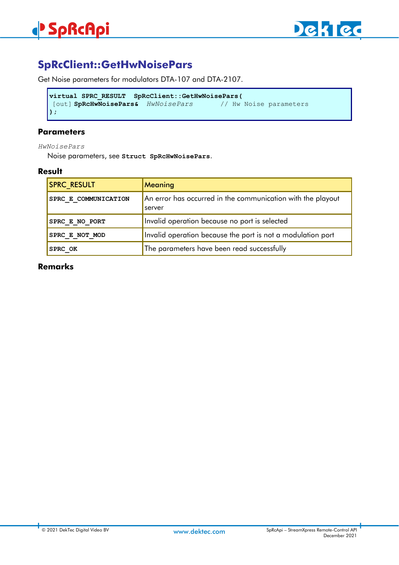# **SpRcClient::GetHwNoisePars**

Get Noise parameters for modulators DTA-107 and DTA-2107.

```
virtual SPRC_RESULT SpRcClient::GetHwNoisePars(
[out] SpRcHwNoisePars& HwNoisePars // Hw Noise parameters
);
```
# **Parameters**

*HwNoisePars*

Noise parameters, see **Struct SpRcHwNoisePars**.

## **Result**

| <b>SPRC RESULT</b>   | Meaning                                                               |
|----------------------|-----------------------------------------------------------------------|
| SPRC E COMMUNICATION | An error has occurred in the communication with the playout<br>server |
| SPRC E NO PORT       | Invalid operation because no port is selected                         |
| SPRC E NOT MOD       | Invalid operation because the port is not a modulation port           |
| SPRC OK              | The parameters have been read successfully                            |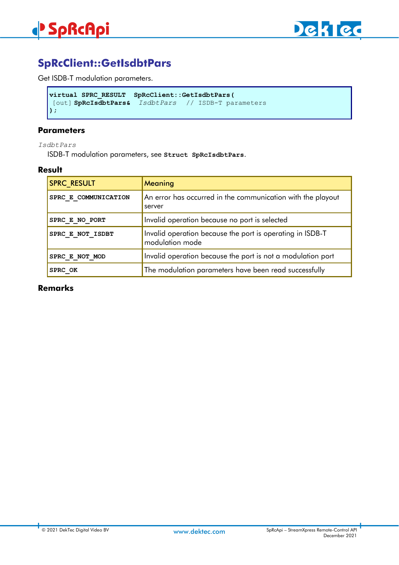

# **SpRcClient::GetIsdbtPars**

Get ISDB-T modulation parameters.

```
virtual SPRC_RESULT SpRcClient::GetIsdbtPars(
[out] SpRcIsdbtPars& IsdbtPars // ISDB-T parameters
);
```
#### **Parameters**

*IsdbtPars*

ISDB-T modulation parameters, see **Struct SpRcIsdbtPars**.

### **Result**

| <b>SPRC RESULT</b>   | Meaning                                                                      |
|----------------------|------------------------------------------------------------------------------|
| SPRC E COMMUNICATION | An error has occurred in the communication with the playout<br>server        |
| SPRC E NO PORT       | Invalid operation because no port is selected                                |
| SPRC E NOT ISDBT     | Invalid operation because the port is operating in ISDB-T<br>modulation mode |
| SPRC E NOT MOD       | Invalid operation because the port is not a modulation port                  |
| SPRC OK              | The modulation parameters have been read successfully                        |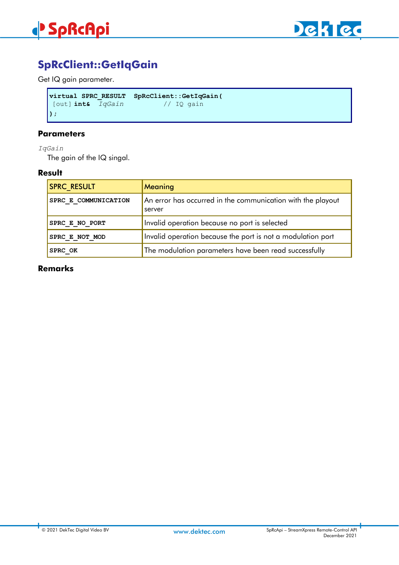



# **SpRcClient::GetIqGain**

Get IQ gain parameter.

```
virtual SPRC_RESULT SpRcClient::GetIqGain(
[out] int& IqGain // IQ gain
);
```
### **Parameters**

*IqGain*

The gain of the IQ singal.

# **Result**

| <b>SPRC RESULT</b>   | Meaning                                                               |
|----------------------|-----------------------------------------------------------------------|
| SPRC E COMMUNICATION | An error has occurred in the communication with the playout<br>server |
| SPRC E NO PORT       | Invalid operation because no port is selected                         |
| SPRC E NOT MOD       | Invalid operation because the port is not a modulation port           |
| SPRC OK              | The modulation parameters have been read successfully                 |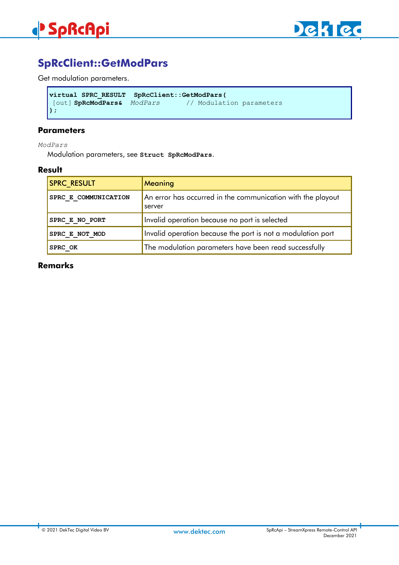

# **SpRcClient::GetModPars**

Get modulation parameters.

```
virtual SPRC_RESULT SpRcClient::GetModPars(
                                     [out] SpRcModPars& ModPars // Modulation parameters
);
```
#### **Parameters**

*ModPars*

Modulation parameters, see **Struct SpRcModPars**.

### **Result**

| <b>SPRC RESULT</b>          | Meaning                                                               |
|-----------------------------|-----------------------------------------------------------------------|
| <b>SPRC E COMMUNICATION</b> | An error has occurred in the communication with the playout<br>server |
| SPRC E NO PORT              | Invalid operation because no port is selected                         |
| SPRC E NOT MOD              | Invalid operation because the port is not a modulation port           |
| SPRC OK                     | The modulation parameters have been read successfully                 |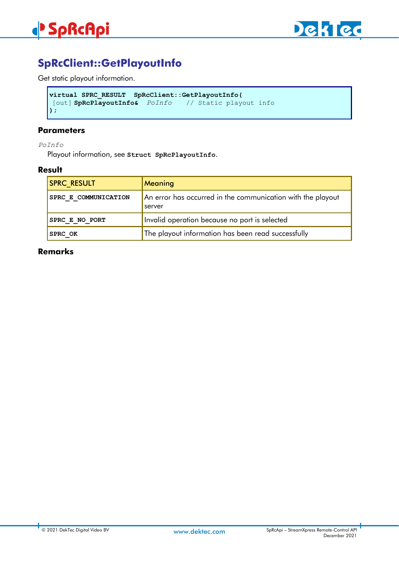

# **SpRcClient::GetPlayoutInfo**

Get static playout information.

```
virtual SPRC_RESULT SpRcClient::GetPlayoutInfo(
[out] SpRcPlayoutInfo& PoInfo // Static playout info 
);
```
### **Parameters**

*PoInfo*

Playout information, see **Struct SpRcPlayoutInfo**.

### **Result**

| <b>SPRC RESULT</b>   | Meaning                                                               |
|----------------------|-----------------------------------------------------------------------|
| SPRC E COMMUNICATION | An error has occurred in the communication with the playout<br>server |
| SPRC E NO PORT       | Invalid operation because no port is selected                         |
| <b>SPRC OK</b>       | The playout information has been read successfully                    |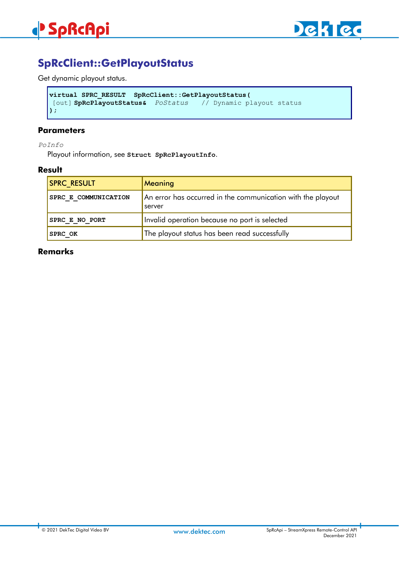

# **SpRcClient::GetPlayoutStatus**

Get dynamic playout status.

```
virtual SPRC_RESULT SpRcClient::GetPlayoutStatus(
[out] SpRcPlayoutStatus& PoStatus // Dynamic playout status
);
```
#### **Parameters**

*PoInfo*

Playout information, see **Struct SpRcPlayoutInfo**.

### **Result**

| <b>SPRC RESULT</b>   | <b>Meaning</b>                                                        |
|----------------------|-----------------------------------------------------------------------|
| SPRC E COMMUNICATION | An error has occurred in the communication with the playout<br>server |
| SPRC E NO PORT       | Invalid operation because no port is selected                         |
| <b>SPRC OK</b>       | The playout status has been read successfully                         |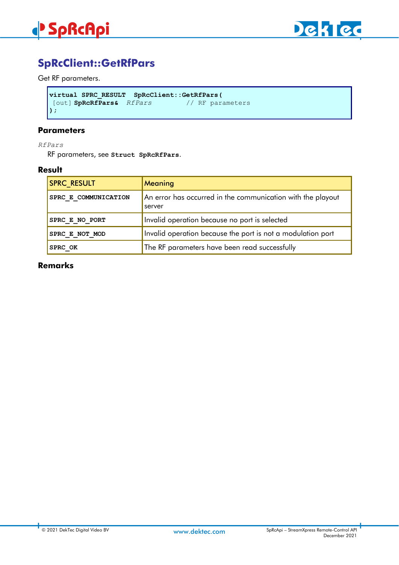

# **SpRcClient::GetRfPars**

# Get RF parameters.

```
virtual SPRC_RESULT SpRcClient::GetRfPars(
[out] SpRcRfPars& RfPars
);
```
#### **Parameters**

*RfPars*

RF parameters, see **Struct SpRcRfPars**.

### **Result**

| <b>SPRC_RESULT</b>   | Meaning                                                               |
|----------------------|-----------------------------------------------------------------------|
| SPRC E COMMUNICATION | An error has occurred in the communication with the playout<br>server |
| SPRC E NO PORT       | Invalid operation because no port is selected                         |
| SPRC E NOT MOD       | Invalid operation because the port is not a modulation port           |
| SPRC OK              | The RF parameters have been read successfully                         |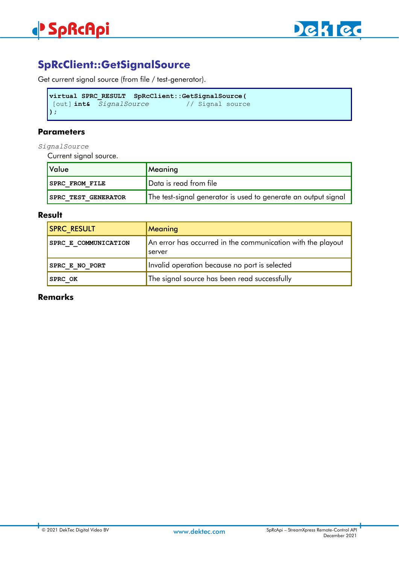

# **SpRcClient::GetSignalSource**

Get current signal source (from file / test-generator).

```
virtual SPRC_RESULT SpRcClient::GetSignalSource(
[out] int& SignalSource // Signal source 
);
```
# **Parameters**

*SignalSource*

Current signal source.

| <b>Value</b>               | Meaning                                                        |
|----------------------------|----------------------------------------------------------------|
| <b>SPRC FROM FILE</b>      | Data is read from file                                         |
| <b>SPRC TEST GENERATOR</b> | The test-signal generator is used to generate an output signal |

# **Result**

| <b>SPRC RESULT</b>          | <b>Meaning</b>                                                        |
|-----------------------------|-----------------------------------------------------------------------|
| <b>SPRC E COMMUNICATION</b> | An error has occurred in the communication with the playout<br>server |
| <b>SPRC E NO PORT</b>       | Invalid operation because no port is selected                         |
| <b>SPRC OK</b>              | The signal source has been read successfully                          |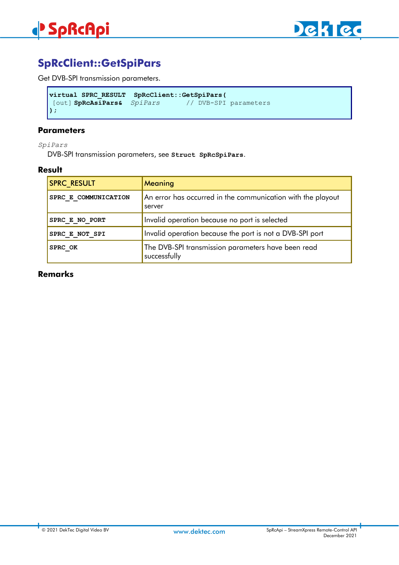

# **SpRcClient::GetSpiPars**

Get DVB-SPI transmission parameters.

```
virtual SPRC_RESULT SpRcClient::GetSpiPars(
[out] SpRcAsiPars& SpiPars
);
```
### **Parameters**

*SpiPars*

DVB-SPI transmission parameters, see **Struct SpRcSpiPars**.

### **Result**

| <b>SPRC RESULT</b>   | Meaning                                                               |
|----------------------|-----------------------------------------------------------------------|
| SPRC E COMMUNICATION | An error has occurred in the communication with the playout<br>server |
| SPRC E NO PORT       | Invalid operation because no port is selected                         |
| SPRC E NOT SPI       | Invalid operation because the port is not a DVB-SPI port              |
| SPRC OK              | The DVB-SPI transmission parameters have been read<br>successfully    |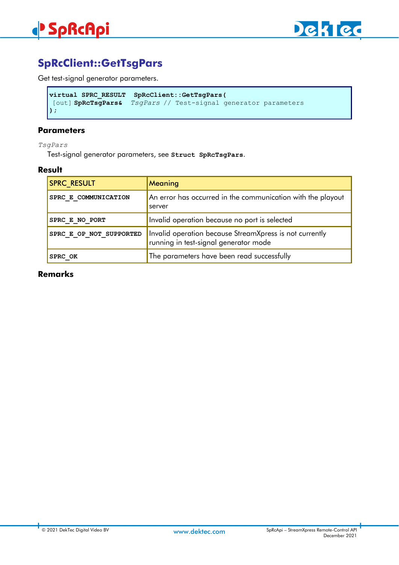

# **SpRcClient::GetTsgPars**

Get test-signal generator parameters.

```
virtual SPRC_RESULT SpRcClient::GetTsgPars(
[out] SpRcTsgPars& TsgPars // Test-signal generator parameters
);
```
### **Parameters**

*TsgPars*

Test-signal generator parameters, see **Struct SpRcTsgPars**.

### **Result**

| <b>SPRC RESULT</b>      | Meaning                                                                                          |
|-------------------------|--------------------------------------------------------------------------------------------------|
| SPRC E COMMUNICATION    | An error has occurred in the communication with the playout<br>server                            |
| SPRC E NO PORT          | Invalid operation because no port is selected                                                    |
| SPRC E OP NOT SUPPORTED | Invalid operation because StreamXpress is not currently<br>running in test-signal generator mode |
| SPRC OK                 | The parameters have been read successfully                                                       |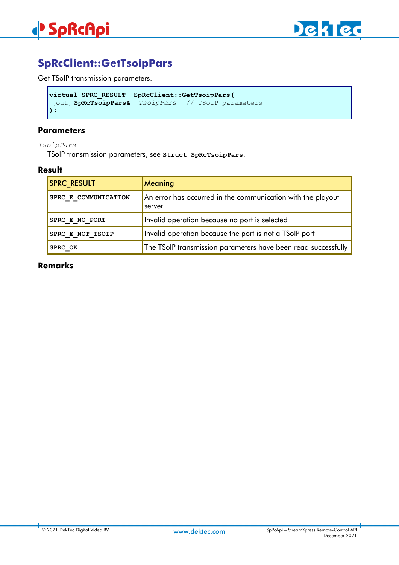

# **SpRcClient::GetTsoipPars**

Get TSoIP transmission parameters.

```
virtual SPRC_RESULT SpRcClient::GetTsoipPars(
[out] SpRcTsoipPars& TsoipPars // TSoIP parameters
);
```
#### **Parameters**

*TsoipPars*

TSoIP transmission parameters, see **Struct SpRcTsoipPars**.

### **Result**

| <b>SPRC RESULT</b>   | Meaning                                                               |
|----------------------|-----------------------------------------------------------------------|
| SPRC E COMMUNICATION | An error has occurred in the communication with the playout<br>server |
| SPRC E NO PORT       | Invalid operation because no port is selected                         |
| SPRC E NOT TSOIP     | Invalid operation because the port is not a TSoIP port                |
| SPRC OK              | The TSoIP transmission parameters have been read successfully         |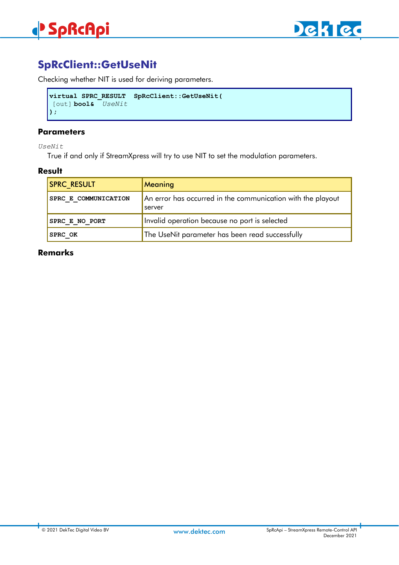

# **SpRcClient::GetUseNit**

Checking whether NIT is used for deriving parameters.

```
virtual SPRC_RESULT SpRcClient::GetUseNit(
[out] bool& UseNit
);
```
# **Parameters**

*UseNit*

True if and only if StreamXpress will try to use NIT to set the modulation parameters.

### **Result**

| <b>SPRC RESULT</b>   | Meaning                                                               |
|----------------------|-----------------------------------------------------------------------|
| SPRC E COMMUNICATION | An error has occurred in the communication with the playout<br>server |
| SPRC E NO PORT       | Invalid operation because no port is selected                         |
| <b>SPRC OK</b>       | The UseNit parameter has been read successfully                       |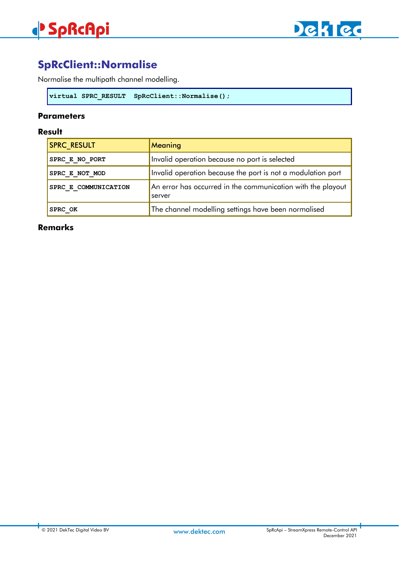

# **SpRcClient::Normalise**

Normalise the multipath channel modelling.

```
virtual SPRC_RESULT SpRcClient::Normalise();
```
## **Parameters**

# **Result**

| <b>SPRC RESULT</b>   | Meaning                                                               |
|----------------------|-----------------------------------------------------------------------|
| SPRC E NO PORT       | Invalid operation because no port is selected                         |
| SPRC E NOT MOD       | Invalid operation because the port is not a modulation port           |
| SPRC E COMMUNICATION | An error has occurred in the communication with the playout<br>server |
| SPRC OK              | The channel modelling settings have been normalised                   |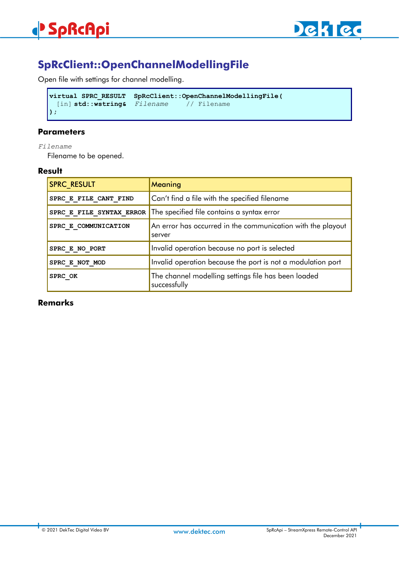

# **SpRcClient::OpenChannelModellingFile**

Open file with settings for channel modelling.

```
virtual SPRC_RESULT SpRcClient::OpenChannelModellingFile(
 [in] std::wstring& Filename // Filename 
);
```
# **Parameters**

#### *Filename*

Filename to be opened.

### **Result**

| <b>SPRC RESULT</b>    | Meaning                                                               |
|-----------------------|-----------------------------------------------------------------------|
| SPRC E FILE CANT FIND | Can't find a file with the specified filename                         |
|                       | SPRC E FILE SYNTAX ERROR The specified file contains a syntax error   |
| SPRC E COMMUNICATION  | An error has occurred in the communication with the playout<br>server |
| SPRC E NO PORT        | Invalid operation because no port is selected                         |
| SPRC E NOT MOD        | Invalid operation because the port is not a modulation port           |
| <b>SPRC OK</b>        | The channel modelling settings file has been loaded<br>successfully   |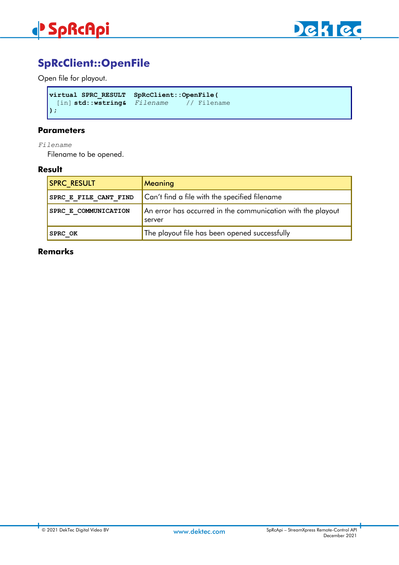



# **SpRcClient::OpenFile**

Open file for playout.

```
virtual SPRC_RESULT SpRcClient::OpenFile(
  [in] std::wstring& Filename // Filename 
);
```
#### **Parameters**

*Filename*

Filename to be opened.

### **Result**

| <b>SPRC RESULT</b>    | <b>Meaning</b>                                                        |
|-----------------------|-----------------------------------------------------------------------|
| SPRC E FILE CANT FIND | Can't find a file with the specified filename                         |
| SPRC E COMMUNICATION  | An error has occurred in the communication with the playout<br>server |
| <b>SPRC OK</b>        | The playout file has been opened successfully                         |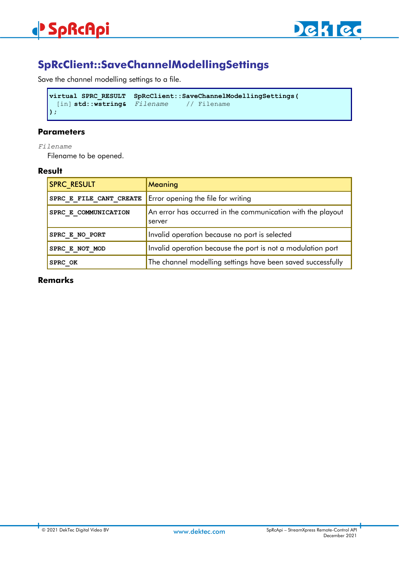

# **SpRcClient::SaveChannelModellingSettings**

Save the channel modelling settings to a file.

```
virtual SPRC_RESULT SpRcClient::SaveChannelModellingSettings(
 [in] std::wstring& Filename // Filename 
);
```
# **Parameters**

#### *Filename*

Filename to be opened.

### **Result**

| <b>SPRC RESULT</b>      | Meaning                                                               |
|-------------------------|-----------------------------------------------------------------------|
| SPRC E FILE CANT CREATE | Error opening the file for writing                                    |
| SPRC E COMMUNICATION    | An error has occurred in the communication with the playout<br>server |
| SPRC E NO PORT          | Invalid operation because no port is selected                         |
| SPRC E NOT MOD          | Invalid operation because the port is not a modulation port           |
| SPRC OK                 | The channel modelling settings have been saved successfully           |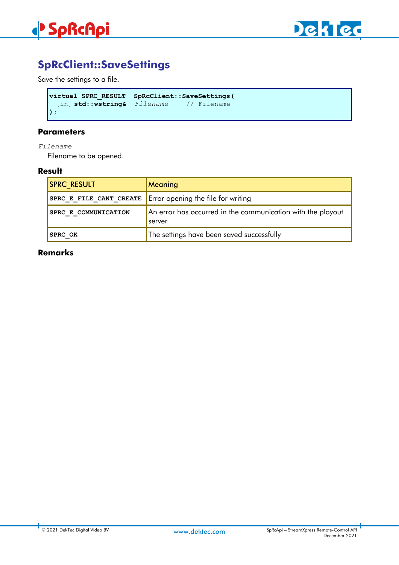



# **SpRcClient::SaveSettings**

Save the settings to a file.

```
virtual SPRC_RESULT SpRcClient::SaveSettings(
 [in] std::wstring& Filename // Filename 
);
```
## **Parameters**

*Filename*

Filename to be opened.

### **Result**

| <b>SPRC RESULT</b>      | Meaning                                                               |
|-------------------------|-----------------------------------------------------------------------|
| SPRC E FILE CANT CREATE | Error opening the file for writing                                    |
| SPRC E COMMUNICATION    | An error has occurred in the communication with the playout<br>server |
| <b>SPRC OK</b>          | The settings have been saved successfully                             |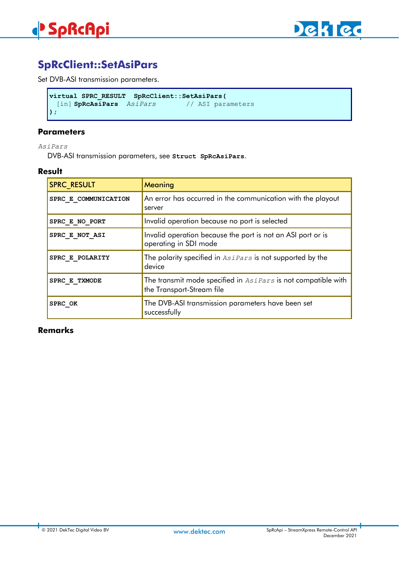

# **SpRcClient::SetAsiPars**

Set DVB-ASI transmission parameters.

```
virtual SPRC_RESULT SpRcClient::SetAsiPars(
 [in] SpRcAsiPars AsiPars // ASI parameters 
);
```
### **Parameters**

*AsiPars*

DVB-ASI transmission parameters, see **Struct SpRcAsiPars**.

### **Result**

| <b>SPRC_RESULT</b>   | Meaning                                                                                    |
|----------------------|--------------------------------------------------------------------------------------------|
| SPRC E COMMUNICATION | An error has occurred in the communication with the playout<br>server                      |
| SPRC E NO PORT       | Invalid operation because no port is selected                                              |
| SPRC E NOT ASI       | Invalid operation because the port is not an ASI port or is<br>operating in SDI mode       |
| SPRC E POLARITY      | The polarity specified in AsiPars is not supported by the<br>device                        |
| SPRC E TXMODE        | The transmit mode specified in AsiPars is not compatible with<br>the Transport-Stream file |
| SPRC OK              | The DVB-ASI transmission parameters have been set<br>successfully                          |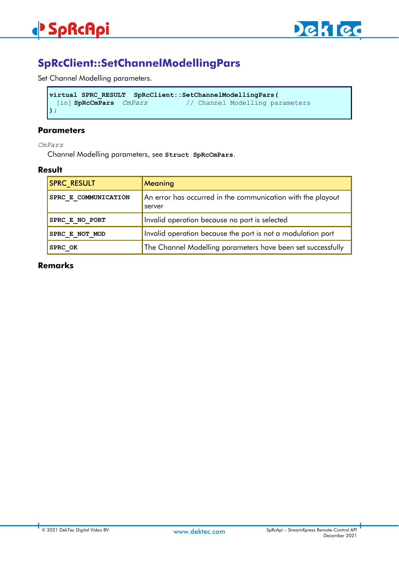

# **SpRcClient::SetChannelModellingPars**

Set Channel Modelling parameters.

```
virtual SPRC_RESULT SpRcClient::SetChannelModellingPars(
                                        [in] SpRcCmPars CmPars // Channel Modelling parameters
);
```
#### **Parameters**

*CmPars*

Channel Modelling parameters, see **Struct SpRcCmPars**.

### **Result**

| <b>SPRC RESULT</b>   | Meaning                                                               |
|----------------------|-----------------------------------------------------------------------|
| SPRC E COMMUNICATION | An error has occurred in the communication with the playout<br>server |
| SPRC E NO PORT       | Invalid operation because no port is selected                         |
| SPRC E NOT MOD       | Invalid operation because the port is not a modulation port           |
| SPRC OK              | The Channel Modelling parameters have been set successfully           |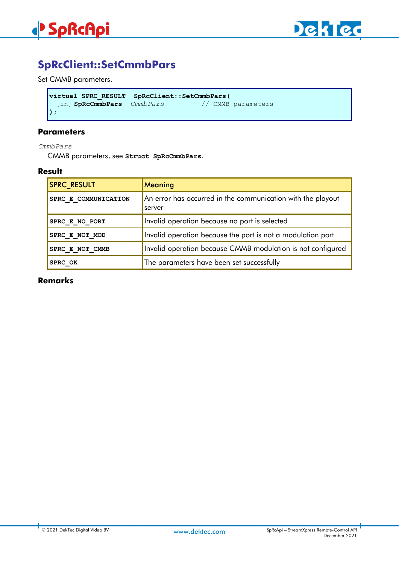



# **SpRcClient::SetCmmbPars**

Set CMMB parameters.

```
virtual SPRC_RESULT SpRcClient::SetCmmbPars(
 [in] SpRcCmmbPars CmmbPars // CMMB parameters
);
```
### **Parameters**

*CmmbPars*

CMMB parameters, see **Struct SpRcCmmbPars**.

### **Result**

| <b>SPRC RESULT</b>   | Meaning                                                               |
|----------------------|-----------------------------------------------------------------------|
| SPRC E COMMUNICATION | An error has occurred in the communication with the playout<br>server |
| SPRC E NO PORT       | Invalid operation because no port is selected                         |
| SPRC E NOT MOD       | Invalid operation because the port is not a modulation port           |
| SPRC E NOT CMMB      | Invalid operation because CMMB modulation is not configured           |
| SPRC OK              | The parameters have been set successfully                             |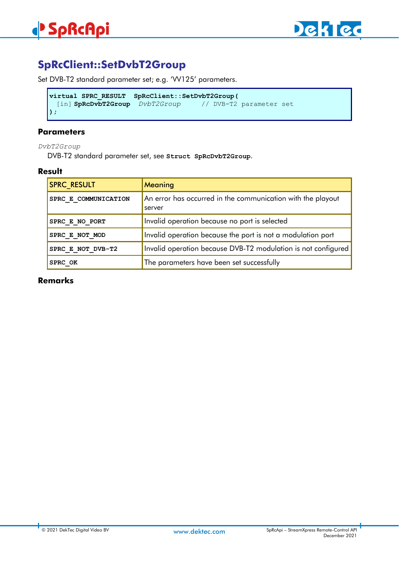# **SpRcClient::SetDvbT2Group**

Set DVB-T2 standard parameter set; e.g. 'VV125' parameters.

```
virtual SPRC_RESULT SpRcClient::SetDvbT2Group(
 [in] SpRcDvbT2Group DvbT2Group // DVB-T2 parameter set
);
```
# **Parameters**

*DvbT2Group*

DVB-T2 standard parameter set, see **Struct SpRcDvbT2Group**.

### **Result**

| <b>SPRC RESULT</b>   | Meaning                                                               |
|----------------------|-----------------------------------------------------------------------|
| SPRC E COMMUNICATION | An error has occurred in the communication with the playout<br>server |
| SPRC E NO PORT       | Invalid operation because no port is selected                         |
| SPRC E NOT MOD       | Invalid operation because the port is not a modulation port           |
| SPRC E NOT DVB-T2    | Invalid operation because DVB-T2 modulation is not configured         |
| SPRC OK              | The parameters have been set successfully                             |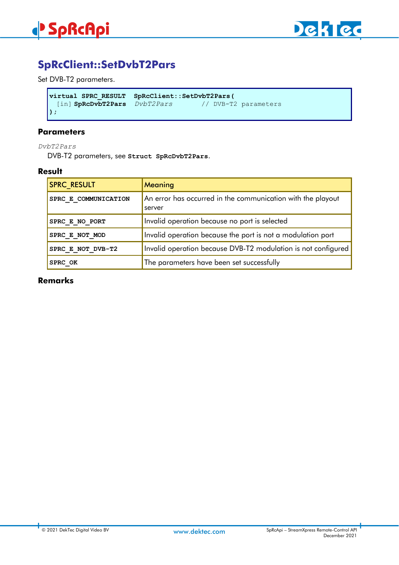



# **SpRcClient::SetDvbT2Pars**

Set DVB-T2 parameters.

```
virtual SPRC_RESULT SpRcClient::SetDvbT2Pars(
 [in] SpRcDvbT2Pars DvbT2Pars // DVB-T2 parameters
);
```
#### **Parameters**

*DvbT2Pars*

DVB-T2 parameters, see **Struct SpRcDvbT2Pars**.

#### **Result**

| <b>SPRC_RESULT</b>   | Meaning                                                               |
|----------------------|-----------------------------------------------------------------------|
| SPRC E COMMUNICATION | An error has occurred in the communication with the playout<br>server |
| SPRC E NO PORT       | Invalid operation because no port is selected                         |
| SPRC E NOT MOD       | Invalid operation because the port is not a modulation port           |
| SPRC E NOT DVB-T2    | Invalid operation because DVB-T2 modulation is not configured         |
| SPRC OK              | The parameters have been set successfully                             |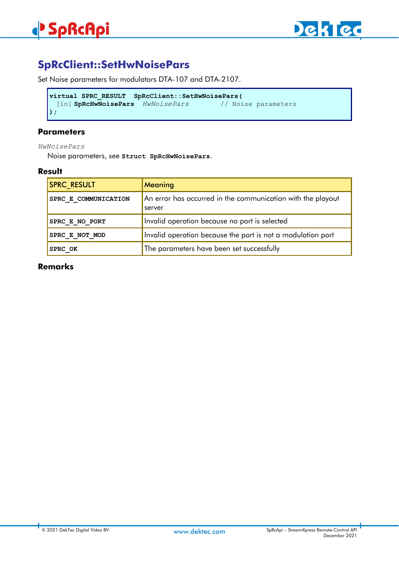# **SpRcClient::SetHwNoisePars**

Set Noise parameters for modulators DTA-107 and DTA-2107.

```
virtual SPRC_RESULT SpRcClient::SetHwNoisePars(
 [in] SpRcHwNoisePars HwNoisePars // Noise parameters
);
```
### **Parameters**

*HwNoisePars*

Noise parameters, see **Struct SpRcHwNoisePars**.

### **Result**

| <b>SPRC RESULT</b>   | Meaning                                                               |
|----------------------|-----------------------------------------------------------------------|
| SPRC E COMMUNICATION | An error has occurred in the communication with the playout<br>server |
| SPRC E NO PORT       | Invalid operation because no port is selected                         |
| SPRC E NOT MOD       | Invalid operation because the port is not a modulation port           |
| SPRC OK              | The parameters have been set successfully                             |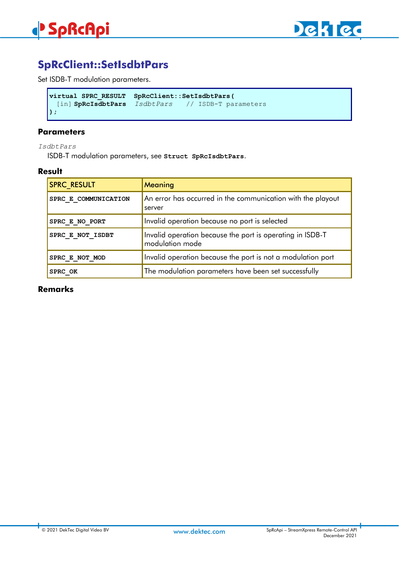

# **SpRcClient::SetIsdbtPars**

Set ISDB-T modulation parameters.

```
virtual SPRC_RESULT SpRcClient::SetIsdbtPars(
 [in] SpRcIsdbtPars IsdbtPars // ISDB-T parameters
);
```
### **Parameters**

*IsdbtPars*

ISDB-T modulation parameters, see **Struct SpRcIsdbtPars**.

#### **Result**

| <b>SPRC RESULT</b>   | Meaning                                                                      |
|----------------------|------------------------------------------------------------------------------|
| SPRC E COMMUNICATION | An error has occurred in the communication with the playout<br>server        |
| SPRC E NO PORT       | Invalid operation because no port is selected                                |
| SPRC E NOT ISDBT     | Invalid operation because the port is operating in ISDB-T<br>modulation mode |
| SPRC E NOT MOD       | Invalid operation because the port is not a modulation port                  |
| SPRC OK              | The modulation parameters have been set successfully                         |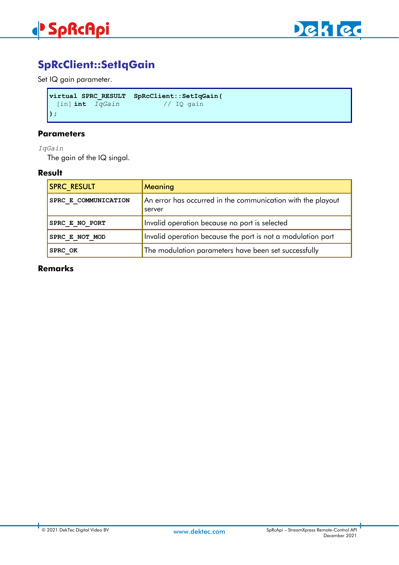



# **SpRcClient::SetIqGain**

Set IQ gain parameter.

```
virtual SPRC_RESULT SpRcClient::SetIqGain(
 [in] int IqGain // IQ gain
);
```
#### **Parameters**

### *IqGain*

The gain of the IQ singal.

## **Result**

| <b>SPRC RESULT</b>   | Meaning                                                               |
|----------------------|-----------------------------------------------------------------------|
| SPRC E COMMUNICATION | An error has occurred in the communication with the playout<br>server |
| SPRC E NO PORT       | Invalid operation because no port is selected                         |
| SPRC E NOT MOD       | Invalid operation because the port is not a modulation port           |
| SPRC OK              | The modulation parameters have been set successfully                  |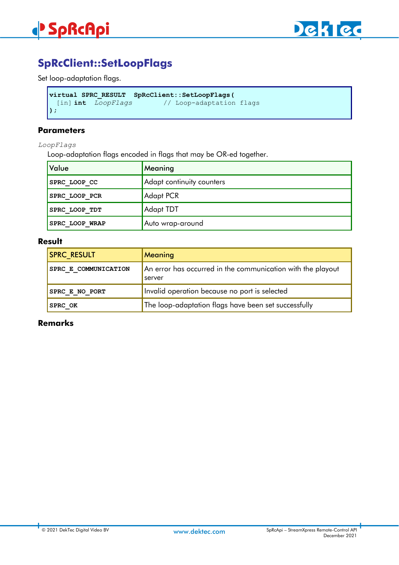

# **SpRcClient::SetLoopFlags**

Set loop-adaptation flags.

```
virtual SPRC_RESULT SpRcClient::SetLoopFlags(
                             [in] int LoopFlags // Loop-adaptation flags 
);
```
#### **Parameters**

*LoopFlags*

Loop-adaptation flags encoded in flags that may be OR-ed together.

| <b>Value</b>         | Meaning                   |
|----------------------|---------------------------|
| SPRC LOOP CC         | Adapt continuity counters |
| SPRC LOOP PCR        | Adapt PCR                 |
| <b>SPRC LOOP TDT</b> | Adapt TDT                 |
| SPRC LOOP WRAP       | Auto wrap-around          |

### **Result**

| <b>SPRC RESULT</b>   | Meaning                                                               |
|----------------------|-----------------------------------------------------------------------|
| SPRC E COMMUNICATION | An error has occurred in the communication with the playout<br>server |
| SPRC E NO PORT       | Invalid operation because no port is selected                         |
| <b>SPRC OK</b>       | The loop-adaptation flags have been set successfully                  |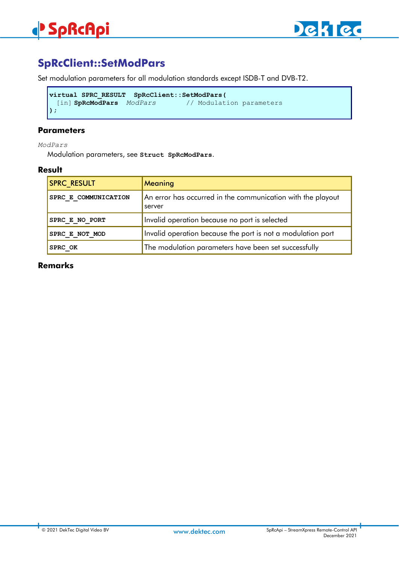

# **SpRcClient::SetModPars**

Set modulation parameters for all modulation standards except ISDB-T and DVB-T2.

```
virtual SPRC_RESULT SpRcClient::SetModPars(
                                     [in] SpRcModPars ModPars // Modulation parameters
);
```
#### **Parameters**

*ModPars*

Modulation parameters, see **Struct SpRcModPars**.

#### **Result**

| <b>SPRC RESULT</b>   | <b>Meaning</b>                                                        |
|----------------------|-----------------------------------------------------------------------|
| SPRC E COMMUNICATION | An error has occurred in the communication with the playout<br>server |
| SPRC E NO PORT       | Invalid operation because no port is selected                         |
| SPRC E NOT MOD       | Invalid operation because the port is not a modulation port           |
| <b>SPRC OK</b>       | The modulation parameters have been set successfully                  |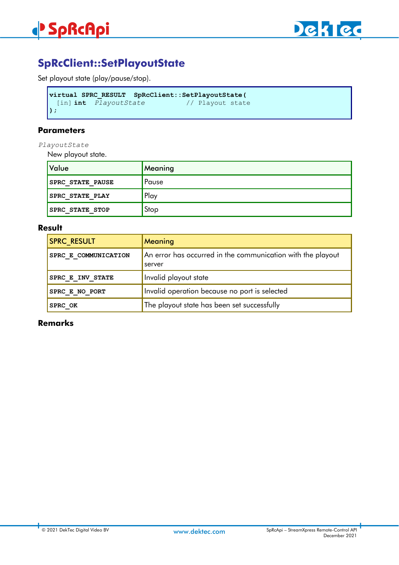

# **SpRcClient::SetPlayoutState**

Set playout state (play/pause/stop).

```
virtual SPRC_RESULT SpRcClient::SetPlayoutState(
 [in] int PlayoutState
);
```
#### **Parameters**

*PlayoutState*

New playout state.

| Value                   | Meaning |
|-------------------------|---------|
| <b>SPRC STATE PAUSE</b> | Pause   |
| <b>SPRC STATE PLAY</b>  | Play    |
| <b>SPRC STATE STOP</b>  | Stop    |

### **Result**

| <b>SPRC RESULT</b>    | Meaning                                                               |
|-----------------------|-----------------------------------------------------------------------|
| SPRC E COMMUNICATION  | An error has occurred in the communication with the playout<br>server |
| SPRC E INV STATE      | Invalid playout state                                                 |
| <b>SPRC E NO PORT</b> | Invalid operation because no port is selected                         |
| <b>SPRC OK</b>        | The playout state has been set successfully                           |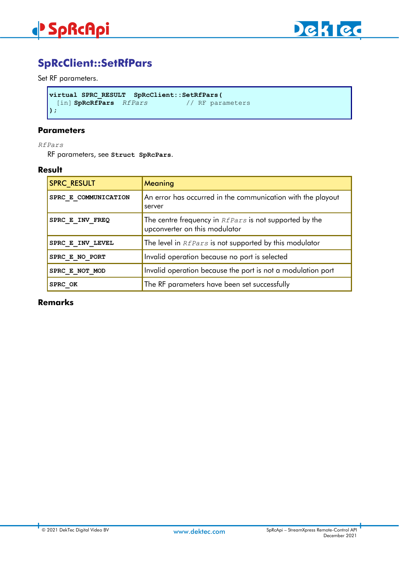

# **SpRcClient::SetRfPars**

Set RF parameters.

```
virtual SPRC_RESULT SpRcClient::SetRfPars(
 [in] SpRcRfPars RfPars
);
```
#### **Parameters**

*RfPars*

RF parameters, see **Struct SpRcPars**.

#### **Result**

| <b>SPRC RESULT</b>   | Meaning                                                                                 |
|----------------------|-----------------------------------------------------------------------------------------|
| SPRC E COMMUNICATION | An error has occurred in the communication with the playout<br>server                   |
| SPRC E INV FREQ      | The centre frequency in REPars is not supported by the<br>upconverter on this modulator |
| SPRC E INV LEVEL     | The level in REPars is not supported by this modulator                                  |
| SPRC E NO PORT       | Invalid operation because no port is selected                                           |
| SPRC E NOT MOD       | Invalid operation because the port is not a modulation port                             |
| SPRC OK              | The RF parameters have been set successfully                                            |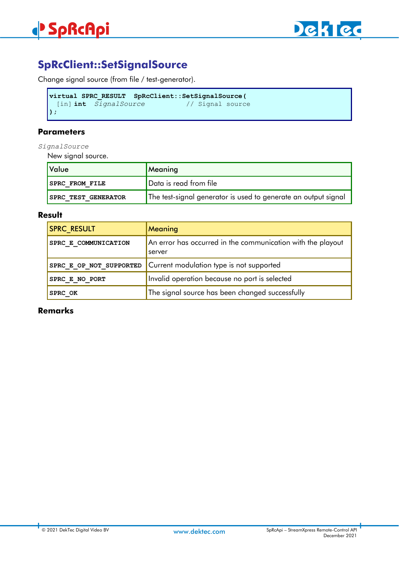

# **SpRcClient::SetSignalSource**

Change signal source (from file / test-generator).

```
virtual SPRC_RESULT SpRcClient::SetSignalSource(
 [in] int SignalSource // Signal source 
);
```
### **Parameters**

*SignalSource*

New signal source.

| Value                      | Meaning                                                        |
|----------------------------|----------------------------------------------------------------|
| <b>SPRC FROM FILE</b>      | Data is read from file                                         |
| <b>SPRC TEST GENERATOR</b> | The test-signal generator is used to generate an output signal |

### **Result**

| <b>SPRC RESULT</b>      | Meaning                                                               |
|-------------------------|-----------------------------------------------------------------------|
| SPRC E COMMUNICATION    | An error has occurred in the communication with the playout<br>server |
| SPRC E OP NOT SUPPORTED | Current modulation type is not supported                              |
| SPRC E NO PORT          | Invalid operation because no port is selected                         |
| SPRC OK                 | The signal source has been changed successfully                       |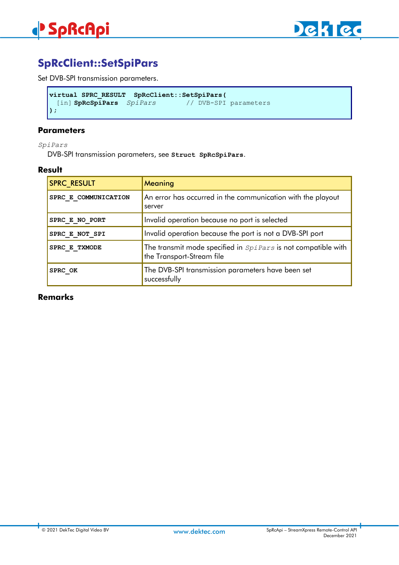

# **SpRcClient::SetSpiPars**

Set DVB-SPI transmission parameters.

```
virtual SPRC_RESULT SpRcClient::SetSpiPars(
                                      [in] SpRcSpiPars SpiPars // DVB-SPI parameters 
);
```
#### **Parameters**

*SpiPars*

DVB-SPI transmission parameters, see **Struct SpRcSpiPars**.

#### **Result**

| <b>SPRC RESULT</b>   | Meaning                                                                                           |
|----------------------|---------------------------------------------------------------------------------------------------|
| SPRC E COMMUNICATION | An error has occurred in the communication with the playout<br>server                             |
| SPRC E NO PORT       | Invalid operation because no port is selected                                                     |
| SPRC E NOT SPI       | Invalid operation because the port is not a DVB-SPI port                                          |
| SPRC E TXMODE        | The transmit mode specified in <i>SpiPars</i> is not compatible with<br>the Transport-Stream file |
| SPRC OK              | The DVB-SPI transmission parameters have been set<br>successfully                                 |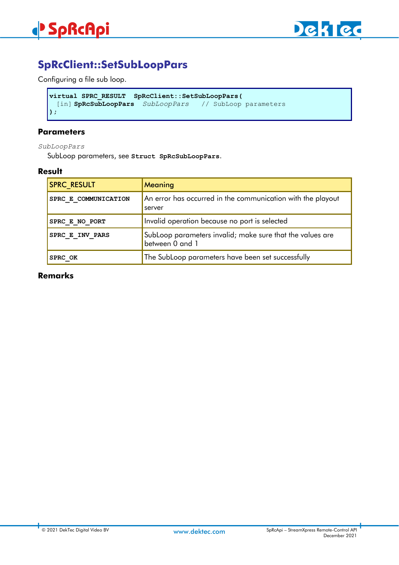

# **SpRcClient::SetSubLoopPars**

Configuring a file sub loop.

```
virtual SPRC_RESULT SpRcClient::SetSubLoopPars(
 [in] SpRcSubLoopPars SubLoopPars // SubLoop parameters 
);
```
### **Parameters**

*SubLoopPars*

SubLoop parameters, see **Struct SpRcSubLoopPars**.

#### **Result**

| <b>SPRC RESULT</b>   | Meaning                                                                      |
|----------------------|------------------------------------------------------------------------------|
| SPRC E COMMUNICATION | An error has occurred in the communication with the playout<br>server        |
| SPRC E NO PORT       | Invalid operation because no port is selected                                |
| SPRC E INV PARS      | SubLoop parameters invalid; make sure that the values are<br>between 0 and 1 |
| SPRC OK              | The SubLoop parameters have been set successfully                            |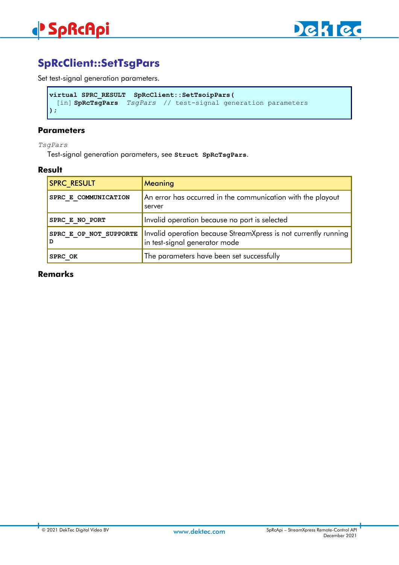

# **SpRcClient::SetTsgPars**

Set test-signal generation parameters.

```
virtual SPRC_RESULT SpRcClient::SetTsoipPars(
 [in] SpRcTsgPars TsgPars // test-signal generation parameters
);
```
#### **Parameters**

*TsgPars*

Test-signal generation parameters, see **Struct SpRcTsgPars**.

#### **Result**

| <b>SPRC RESULT</b>          | Meaning                                                                                          |
|-----------------------------|--------------------------------------------------------------------------------------------------|
| SPRC E COMMUNICATION        | An error has occurred in the communication with the playout<br>server                            |
| SPRC E NO PORT              | Invalid operation because no port is selected                                                    |
| SPRC E OP NOT SUPPORTE<br>D | Invalid operation because StreamXpress is not currently running<br>in test-signal generator mode |
| SPRC OK                     | The parameters have been set successfully                                                        |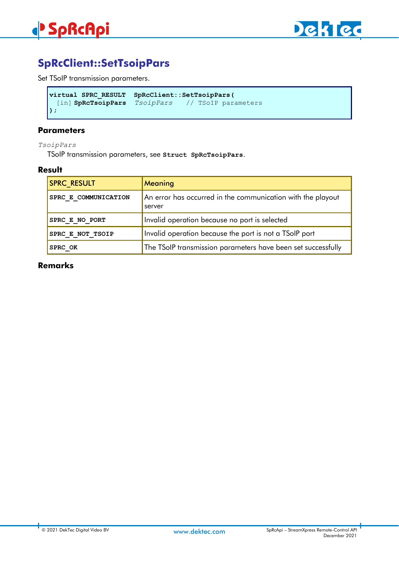

# **SpRcClient::SetTsoipPars**

Set TSoIP transmission parameters.

```
virtual SPRC_RESULT SpRcClient::SetTsoipPars(
  [in] SpRcTsoipPars TsoipPars // TSoIP parameters
);
```
#### **Parameters**

*TsoipPars*

TSoIP transmission parameters, see **Struct SpRcTsoipPars**.

#### **Result**

| <b>SPRC_RESULT</b>   | Meaning                                                               |
|----------------------|-----------------------------------------------------------------------|
| SPRC E COMMUNICATION | An error has occurred in the communication with the playout<br>server |
| SPRC E NO PORT       | Invalid operation because no port is selected                         |
| SPRC E NOT TSOIP     | Invalid operation because the port is not a TSoIP port                |
| SPRC OK              | The TSoIP transmission parameters have been set successfully          |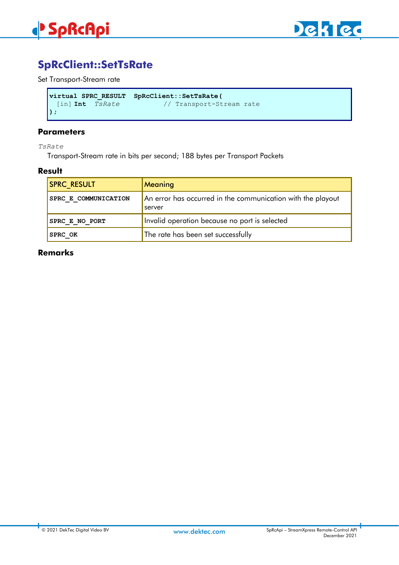

# **SpRcClient::SetTsRate**

Set Transport-Stream rate

```
virtual SPRC_RESULT SpRcClient::SetTsRate(
 [in] Int TsRate // Transport-Stream rate
);
```
### **Parameters**

*TsRate*

Transport-Stream rate in bits per second; 188 bytes per Transport Packets

#### **Result**

| <b>SPRC RESULT</b>          | <b>Meaning</b>                                                        |
|-----------------------------|-----------------------------------------------------------------------|
| <b>SPRC E COMMUNICATION</b> | An error has occurred in the communication with the playout<br>server |
| SPRC E NO PORT              | Invalid operation because no port is selected                         |
| <b>SPRC OK</b>              | The rate has been set successfully                                    |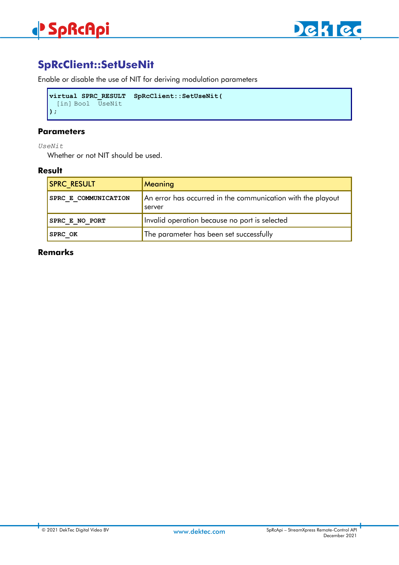# **SpRcClient::SetUseNit**

Enable or disable the use of NIT for deriving modulation parameters

```
virtual SPRC_RESULT SpRcClient::SetUseNit(
 [in] Bool UseNit
);
```
### **Parameters**

*UseNit*

Whether or not NIT should be used.

### **Result**

| <b>SPRC RESULT</b>    | Meaning                                                               |
|-----------------------|-----------------------------------------------------------------------|
| SPRC E COMMUNICATION  | An error has occurred in the communication with the playout<br>server |
| <b>SPRC E NO PORT</b> | Invalid operation because no port is selected                         |
| <b>SPRC OK</b>        | The parameter has been set successfully                               |